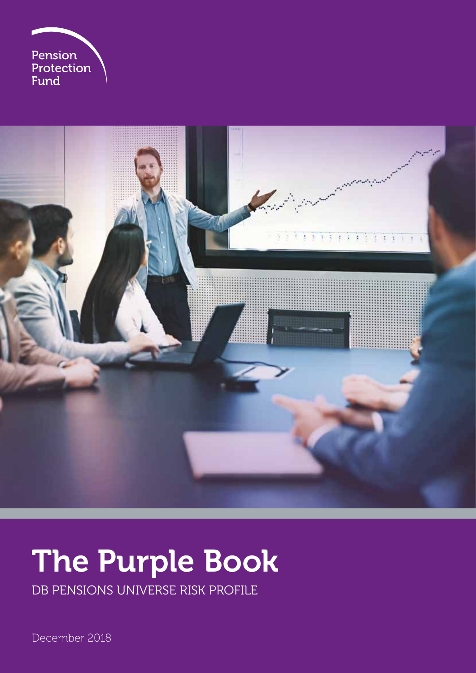



# The Purple Book

DB PENSIONS UNIVERSE RISK PROFILE

December 2018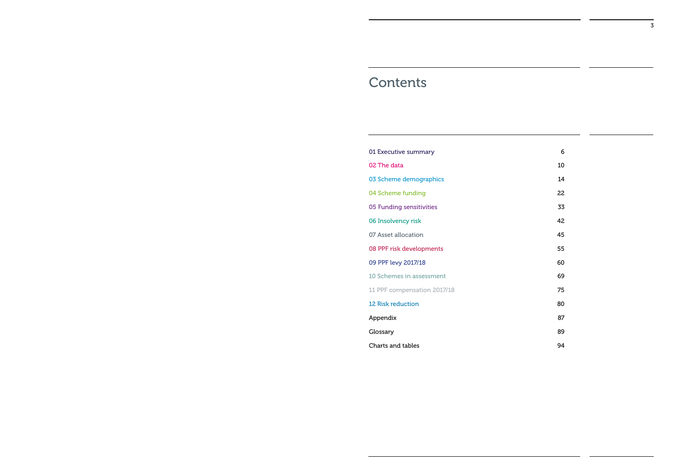## **Contents**

- 01 Executive summary 6
- 02 The data 10
- 03 Scheme demographics 14
- 04 Scheme funding 22
- 05 Funding sensitivities 33
- 06 Insolvency risk 42
- 07 Asset allocation **45**
- 08 PPF risk developments 55

09 PPF levy 2017/18 60

- 10 Schemes in assessment 69
- 11 PPF compensation 2017/18 **75**

12 Risk reduction 80

Appendix 87

Glossary 89

**Charts and tables** 94

- 
- 
- 
- 
- 
- 
- 
- 
- 
- 
- 
- 
- 
-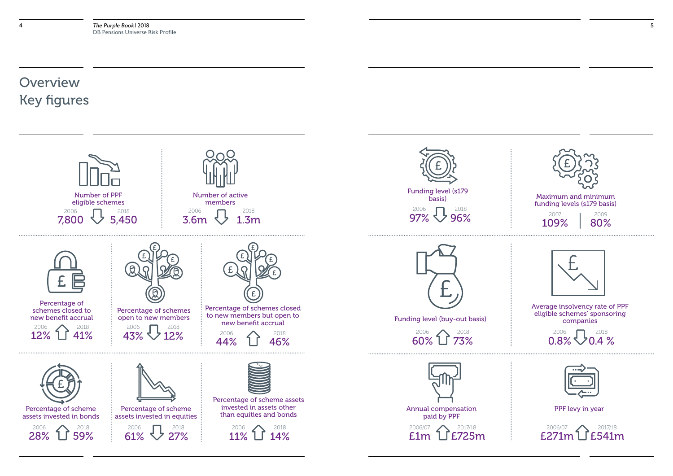## **Overview** Key figures





Funding level (buy-out basis)







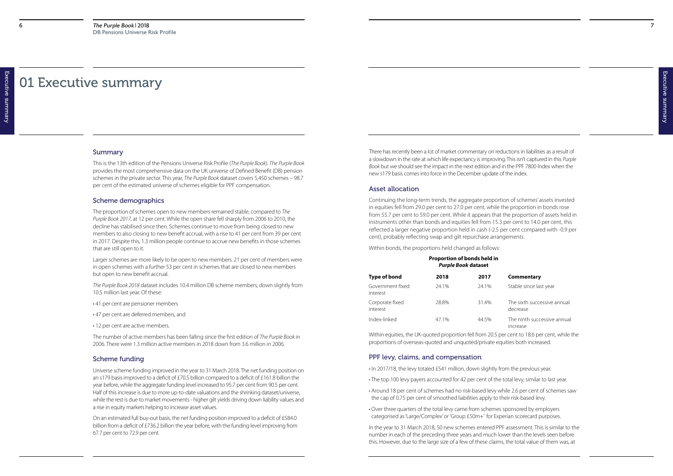## 01 Executive summary

#### Summary

This is the 13th edition of the Pensions Universe Risk Profile (*The Purple Book*). *The Purple Book* provides the most comprehensive data on the UK universe of Defined Benefit (DB) pension schemes in the private sector. This year, *The Purple Book* dataset covers 5,450 schemes – 98.7 per cent of the estimated universe of schemes eligible for PPF compensation.

#### Scheme demographics

- 41 per cent are pensioner members
- 47 per cent are deferred members, and
- 12 per cent are active members.

The proportion of schemes open to new members remained stable, compared to *The Purple Book 2017*, at 12 per cent. While the open share fell sharply from 2006 to 2010, the decline has stabilised since then. Schemes continue to move from being closed to new members to also closing to new benefit accrual, with a rise to 41 per cent from 39 per cent in 2017. Despite this, 1.3 million people continue to accrue new benefits in those schemes that are still open to it.

Larger schemes are more likely to be open to new members. 21 per cent of members were in open schemes with a further 53 per cent in schemes that are closed to new members but open to new benefit accrual.

*The Purple Book 2018* dataset includes 10.4 million DB scheme members, down slightly from 10.5 million last year. Of these:

The number of active members has been falling since the first edition of *The Purple Book* in 2006. There were 1.3 million active members in 2018 down from 3.6 million in 2006.

#### Scheme funding

- The sixth successive annual decrease
- The ninth successive annual increase
- 

Universe scheme funding improved in the year to 31 March 2018. The net funding position on an s179 basis improved to a deficit of £70.5 billion compared to a deficit of £161.8 billion the year before, while the aggregate funding level increased to 95.7 per cent from 90.5 per cent. Half of this increase is due to more up-to-date valuations and the shrinking dataset/universe, while the rest is due to market movements - higher gilt yields driving down liability values and a rise in equity markets helping to increase asset values.

On an estimated full buy-out basis, the net funding position improved to a deficit of £584.0 billion from a deficit of £736.2 billion the year before, with the funding level improving from 67.7 per cent to 72.9 per cent.

There has recently been a lot of market commentary on reductions in liabilities as a result of a slowdown in the rate at which life expectancy is improving. This isn't captured in this *Purple Book* but we should see the impact in the next edition and in the PPF 7800 Index when the new s179 basis comes into force in the December update of the index.

#### Asset allocation

Continuing the long-term trends, the aggregate proportion of schemes' assets invested in equities fell from 29.0 per cent to 27.0 per cent, while the proportion in bonds rose from 55.7 per cent to 59.0 per cent. While it appears that the proportion of assets held in instruments other than bonds and equities fell from 15.3 per cent to 14.0 per cent, this reflected a larger negative proportion held in cash (-2.5 per cent compared with -0.9 per cent), probably reflecting swap and gilt repurchase arrangements.

Within bonds, the proportions held changed as follows:

### **Type of bond 2018 2017 Commentary**

Stable since last year

|                              | Proportion of bonds held in<br><b>Purple Book dataset</b> |       |  |  |
|------------------------------|-----------------------------------------------------------|-------|--|--|
| <b>Type of bond</b>          | 2018                                                      | 2017  |  |  |
| Government fixed<br>interest | 24.1%                                                     | 24.1% |  |  |
| Corporate fixed<br>interest  | 28.8%                                                     | 31.4% |  |  |
| Index-linked                 | 47.1%                                                     | 44.5% |  |  |

Within equities, the UK-quoted proportion fell from 20.5 per cent to 18.6 per cent, while the proportions of overseas-quoted and unquoted/private equities both increased.

#### PPF levy, claims, and compensation

- In 2017/18, the levy totaled £541 million, down slightly from the previous year.
- The top 100 levy payers accounted for 42 per cent of the total levy, similar to last year.
- Around 18 per cent of schemes had no risk-based levy while 2.6 per cent of schemes saw the cap of 0.75 per cent of smoothed liabilities apply to their risk-based levy.
- Over three quarters of the total levy came from schemes sponsored by employers categorised as 'Large/Complex' or 'Group £50m+' for Experian scorecard purposes.

In the year to 31 March 2018, 50 new schemes entered PPF assessment. This is similar to the number in each of the preceding three years and much lower than the levels seen before this. However, due to the large size of a few of these claims, the total value of them was, at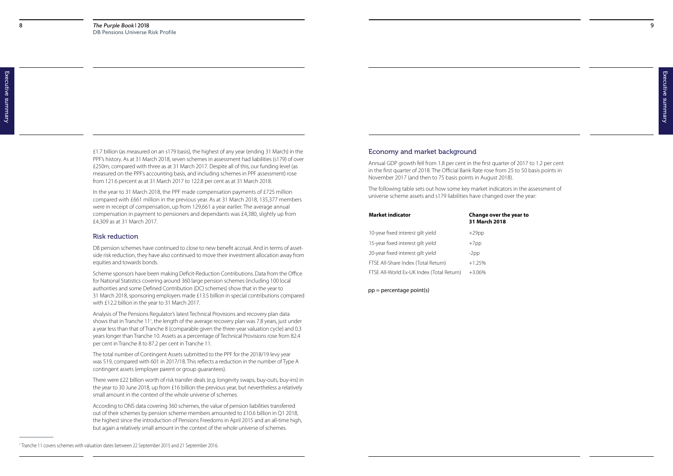#### **Ne year to**

£1.7 billion (as measured on an s179 basis), the highest of any year (ending 31 March) in the PPF's history. As at 31 March 2018, seven schemes in assessment had liabilities (s179) of over £250m, compared with three as at 31 March 2017. Despite all of this, our funding level (as measured on the PPF's accounting basis, and including schemes in PPF assessment) rose from 121.6 percent as at 31 March 2017 to 122.8 per cent as at 31 March 2018.

In the year to 31 March 2018, the PPF made compensation payments of £725 million compared with £661 million in the previous year. As at 31 March 2018, 135,377 members were in receipt of compensation, up from 129,661 a year earlier. The average annual compensation in payment to pensioners and dependants was £4,380, slightly up from £4,309 as at 31 March 2017.

#### Risk reduction

DB pension schemes have continued to close to new benefit accrual. And in terms of assetside risk reduction, they have also continued to move their investment allocation away from equities and towards bonds.

Scheme sponsors have been making Deficit-Reduction Contributions. Data from the Office for National Statistics covering around 360 large pension schemes (including 100 local authorities and some Defined Contribution (DC) schemes) show that in the year to 31 March 2018, sponsoring employers made £13.5 billion in special contributions compared with £12.2 billion in the year to 31 March 2017.

Analysis of The Pensions Regulator's latest Technical Provisions and recovery plan data shows that in Tranche 11<sup>1</sup>, the length of the average recovery plan was 7.8 years, just under a year less than that of Tranche 8 (comparable given the three-year valuation cycle) and 0.3 years longer than Tranche 10. Assets as a percentage of Technical Provisions rose from 82.4 per cent in Tranche 8 to 87.2 per cent in Tranche 11.

The total number of Contingent Assets submitted to the PPF for the 2018/19 levy year was 519, compared with 601 in 2017/18. This reflects a reduction in the number of Type A contingent assets (employer parent or group guarantees).

There were £22 billion worth of risk transfer deals (e.g. longevity swaps, buy-outs, buy-ins) in the year to 30 June 2018, up from £16 billion the previous year, but nevertheless a relatively small amount in the context of the whole universe of schemes.

According to ONS data covering 360 schemes, the value of pension liabilities transferred out of their schemes by pension scheme members amounted to £10.6 billion in Q1 2018, the highest since the introduction of Pensions Freedoms in April 2015 and an all-time high, but again a relatively small amount in the context of the whole universe of schemes.

## Economy and market background

Annual GDP growth fell from 1.8 per cent in the first quarter of 2017 to 1.2 per cent in the first quarter of 2018. The Official Bank Rate rose from 25 to 50 basis points in November 2017 (and then to 75 basis points in August 2018).

The following table sets out how some key market indicators in the assessment of universe scheme assets and s179 liabilities have changed over the year:

#### pp = percentage point(s)

| <b>Market indicator</b>                   | Change over th<br>31 March 2018 |
|-------------------------------------------|---------------------------------|
| 10-year fixed interest gilt yield         | $+29$ pp                        |
| 15-year fixed interest gilt yield         | $+7$ pp                         |
| 20-year fixed interest gilt yield         | $-2pp$                          |
| FTSE All-Share Index (Total Return)       | $+1.25%$                        |
| FTSE All-World Ex-UK Index (Total Return) | $+3.06\%$                       |

<sup>1</sup> Tranche 11 covers schemes with valuation dates between 22 September 2015 and 21 September 2016.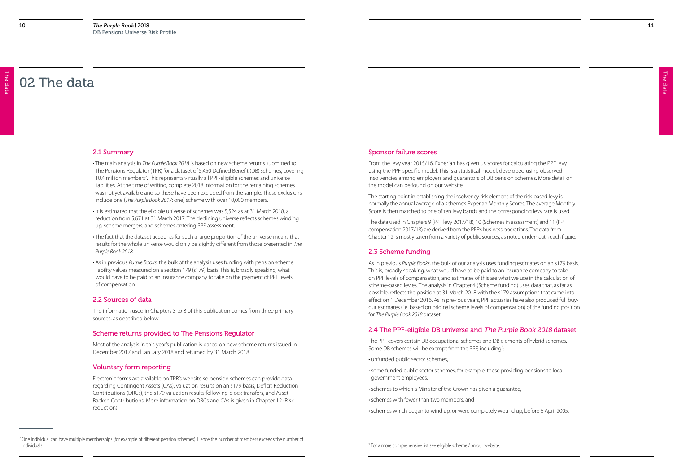> The data The data

The data

The data

## 02 The data

#### 2.1 Summary

- The main analysis in *The Purple Book 2018* is based on new scheme returns submitted to The Pensions Regulator (TPR) for a dataset of 5,450 Defined Benefit (DB) schemes, covering 10.4 million members<sup>2</sup>. This represents virtually all PPF-eligible schemes and universe liabilities. At the time of writing, complete 2018 information for the remaining schemes was not yet available and so these have been excluded from the sample. These exclusions include one (*The Purple Book 2017*: one) scheme with over 10,000 members.
- It is estimated that the eligible universe of schemes was 5,524 as at 31 March 2018, a reduction from 5,671 at 31 March 2017. The declining universe reflects schemes winding up, scheme mergers, and schemes entering PPF assessment.
- The fact that the dataset accounts for such a large proportion of the universe means that results for the whole universe would only be slightly different from those presented in *The Purple Book 2018.*
- As in previous *Purple Books*, the bulk of the analysis uses funding with pension scheme liability values measured on a section 179 (s179) basis. This is, broadly speaking, what would have to be paid to an insurance company to take on the payment of PPF levels of compensation.

#### 2.2 Sources of data

The information used in Chapters 3 to 8 of this publication comes from three primary sources, as described below.

#### Scheme returns provided to The Pensions Regulator

Most of the analysis in this year's publication is based on new scheme returns issued in December 2017 and January 2018 and returned by 31 March 2018.

#### Voluntary form reporting

Electronic forms are available on TPR's website so pension schemes can provide data regarding Contingent Assets (CAs), valuation results on an s179 basis, Deficit-Reduction Contributions (DRCs), the s179 valuation results following block transfers, and Asset-Backed Contributions. More information on DRCs and CAs is given in Chapter 12 (Risk reduction).

#### Sponsor failure scores

From the levy year 2015/16, Experian has given us scores for calculating the PPF levy using the PPF-specific model. This is a statistical model, developed using observed insolvencies among employers and guarantors of DB pension schemes. More detail on the model can be found on our website.

The starting point in establishing the insolvency risk element of the risk-based levy is normally the annual average of a scheme's Experian Monthly Scores. The average Monthly Score is then matched to one of ten levy bands and the corresponding levy rate is used.

The data used in Chapters 9 (PPF levy 2017/18), 10 (Schemes in assessment) and 11 (PPF compensation 2017/18) are derived from the PPF's business operations. The data from Chapter 12 is mostly taken from a variety of public sources, as noted underneath each figure.

#### 2.3 Scheme funding

As in previous *Purple Books*, the bulk of our analysis uses funding estimates on an s179 basis. This is, broadly speaking, what would have to be paid to an insurance company to take on PPF levels of compensation, and estimates of this are what we use in the calculation of scheme-based levies. The analysis in Chapter 4 (Scheme funding) uses data that, as far as possible, reflects the position at 31 March 2018 with the s179 assumptions that came into effect on 1 December 2016. As in previous years, PPF actuaries have also produced full buyout estimates (i.e. based on original scheme levels of compensation) of the funding position for *The Purple Book 2018* dataset.

## 2.4 The PPF-eligible DB universe and The Purple Book 2018 dataset

The PPF covers certain DB occupational schemes and DB elements of hybrid schemes. Some DB schemes will be exempt from the PPF, including<sup>3</sup>: :

- unfunded public sector schemes,
- some funded public sector schemes, for example, those providing pensions to local government employees,
- schemes to which a Minister of the Crown has given a guarantee,
- schemes with fewer than two members, and
- schemes which began to wind up, or were completely wound up, before 6 April 2005.

<sup>&</sup>lt;sup>2</sup> One individual can have multiple memberships (for example of different pension schemes). Hence the number of members exceeds the number of individuals. <sup>3</sup> For a more comprehensive list see 'eligible schemes' on our website.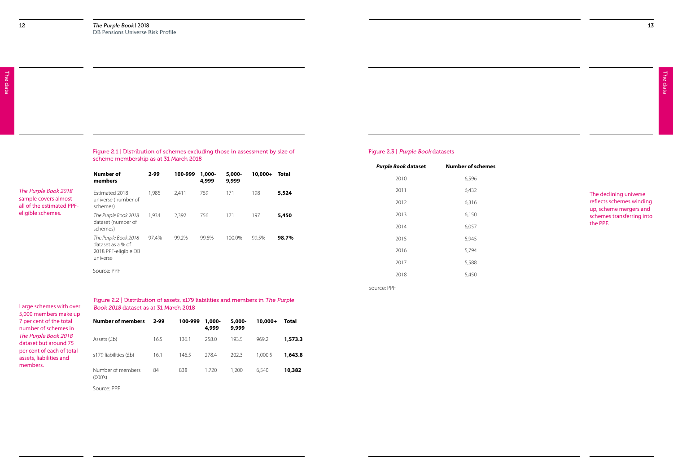Figure 2.2 | Distribution of assets, s179 liabilities and members in The Purple Book 2018 dataset as at 31 March 2018

| <b>Number of members</b>     | $2 - 99$ | 100-999 | 1,000-<br>4,999 | 5,000-<br>9,999 | $10,000+$ | Total   |
|------------------------------|----------|---------|-----------------|-----------------|-----------|---------|
| Assets (£b)                  | 16.5     | 136.1   | 258.0           | 193.5           | 969.2     | 1,573.3 |
| s179 liabilities (£b)        | 16.1     | 146.5   | 278.4           | 202.3           | 1.000.5   | 1,643.8 |
| Number of members<br>(000's) | 84       | 838     | 1,720           | 1,200           | 6,540     | 10,382  |
|                              |          |         |                 |                 |           |         |

|                                                       |          |         |                    |                 |           |       | <b>Purple Book dataset</b> | <b>Number of schemes</b> |
|-------------------------------------------------------|----------|---------|--------------------|-----------------|-----------|-------|----------------------------|--------------------------|
| <b>Number of</b><br>members                           | $2 - 99$ | 100-999 | $1,000 -$<br>4,999 | 5,000-<br>9,999 | $10,000+$ | Total | 2010                       | 6,596                    |
| Estimated 2018                                        | 1,985    | 2,411   | 759                | 171             | 198       | 5,524 | 2011                       | 6,432                    |
| universe (number of<br>schemes)                       |          |         |                    |                 |           |       | 2012                       | 6,316                    |
| The Purple Book 2018                                  | 1,934    | 2,392   | 756                | 171             | 197       | 5,450 | 2013                       | 6,150                    |
| dataset (number of<br>schemes)                        |          |         |                    |                 |           |       | 2014                       | 6,057                    |
| The Purple Book 2018                                  | 97.4%    | 99.2%   | 99.6%              | 100.0%          | 99.5%     | 98.7% | 2015                       | 5,945                    |
| dataset as a % of<br>2018 PPF-eligible DB<br>universe |          |         |                    |                 |           |       | 2016                       | 5,794                    |
|                                                       |          |         |                    |                 |           |       | 2017                       | 5,588                    |
| Source: PPF                                           |          |         |                    |                 |           |       | 2018                       | 5,450                    |

*The* Purple Book 2018 sample covers almost all of the estimated PPF-

eligible schemes.

Large schemes with over 5,000 members make up 7 per cent of the total number of schemes in *The* Purple Book 2018 dataset but around 75 per cent of each of total assets, liabilities and members.

#### Figure 2.1 | Distribution of schemes excluding those in assessment by size of scheme membership as at 31 March 2018

#### Figure 2.3 | Purple Book datasets

Source: PPF

Source: PPF

The declining universe reflects schemes winding up, scheme mergers and schemes transferring into the PPF.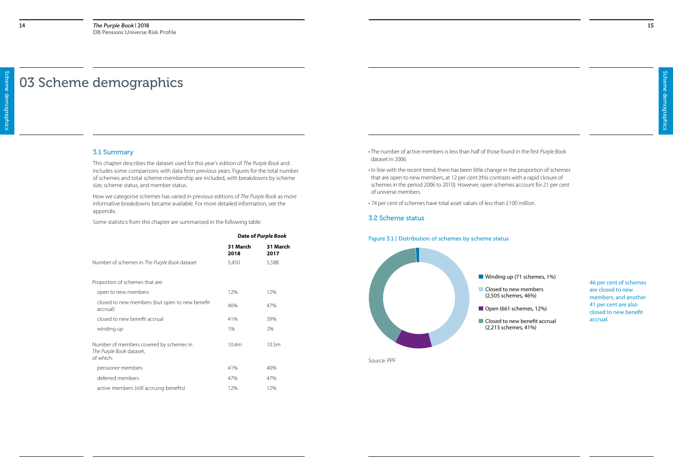Winding up (71 schemes, 1%)

## 03 Scheme demographics

#### 3.1 Summary

This chapter describes the dataset used for this year's edition of *The Purple Book* and includes some comparisons with data from previous years. Figures for the total number of schemes and total scheme membership are included, with breakdowns by scheme size, scheme status, and member status.

How we categorise schemes has varied in previous editions of *The Purple Book* as more informative breakdowns became available. For more detailed information, see the appendix.

Some statistics from this chapter are summarised in the following table:

Closed to new members (2,505 schemes, 46%)

Open (661 schemes, 12%)

|                                                                                  |                  | Date of Purple Book |
|----------------------------------------------------------------------------------|------------------|---------------------|
|                                                                                  | 31 March<br>2018 | 31 March<br>2017    |
| Number of schemes in The Purple Book dataset                                     | 5,450            | 5,588               |
| Proportion of schemes that are:                                                  |                  |                     |
| open to new members                                                              | 12%              | 12%                 |
| closed to new members (but open to new benefit<br>accrual)                       | 46%              | 47%                 |
| closed to new benefit accrual                                                    | 41%              | 39%                 |
| winding up                                                                       | 1%               | 2%                  |
| Number of members covered by schemes in<br>The Purple Book dataset,<br>of which: | 10.4m            | 10.5m               |
| pensioner members                                                                | 41%              | 40%                 |
| deferred members                                                                 | 47%              | 47%                 |
| active members (still accruing benefits)                                         | 12%              | 12%                 |

Closed to new benefit accrual (2,213 schemes, 41%)

- The number of active members is less than half of those found in the first *Purple Book* dataset in 2006.
- In line with the recent trend, there has been little change in the proportion of schemes that are open to new members, at 12 per cent (this contrasts with a rapid closure of schemes in the period 2006 to 2010). However, open schemes account for 21 per cent of universe members.
- 74 per cent of schemes have total asset values of less than £100 million.

### 3.2 Scheme status

### Figure 3.1 | Distribution of schemes by scheme status



46 per cent of schemes are closed to new members, and another 41 per cent are also closed to new benefit accrual.

Source: PPF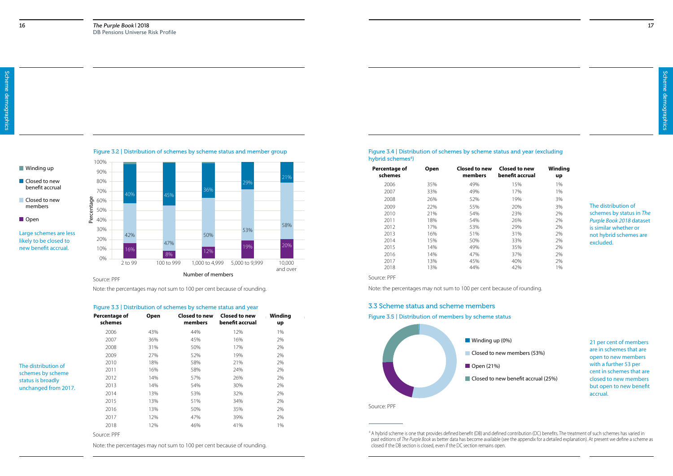Closed to new benefit accrual (25%)

17



## **Winding up Closed to new** benefit accrual

- Closed to new members
- Open



#### Figure 3.4 | Distribution of schemes by scheme status and year (excluding hybrid schemes<sup>4</sup>)

Figure 3.3 | Distribution of schemes by scheme status and year

| Closed to new<br>members                         | Percentage<br>60%<br>50%                                       | $\sim$ $\sim$ |                                 |                                                                        |               |
|--------------------------------------------------|----------------------------------------------------------------|---------------|---------------------------------|------------------------------------------------------------------------|---------------|
| Open                                             | 40%                                                            |               |                                 |                                                                        |               |
|                                                  | 30%                                                            |               |                                 | 53%                                                                    | 58%           |
| Large schemes are less<br>likely to be closed to | 42%<br>20%                                                     |               | 50%                             |                                                                        |               |
| new benefit accrual.                             | 10%<br>16%                                                     | 47%           |                                 | 19%                                                                    | 20%           |
|                                                  | 0%                                                             | 8%            | 12%                             |                                                                        |               |
|                                                  | 2 to 99                                                        | 100 to 999    | 1,000 to 4,999                  | 5,000 to 9,999                                                         | 10,000        |
|                                                  | Source: PPF                                                    |               | Number of members               |                                                                        | and over      |
|                                                  |                                                                |               |                                 | Note: the percentages may not sum to 100 per cent because of rounding. |               |
|                                                  | Figure 3.3   Distribution of schemes by scheme status and year |               |                                 |                                                                        |               |
|                                                  | <b>Percentage of</b><br>schemes                                | Open          | <b>Closed to new</b><br>members | <b>Closed to new</b><br>benefit accrual                                | Winding<br>up |
|                                                  | 2006                                                           | 43%           | 44%                             | 12%                                                                    | 1%            |
|                                                  | 2007                                                           | 36%           | 45%                             | 16%                                                                    | 2%            |
|                                                  | 2008                                                           | 31%           | 50%                             | 17%                                                                    | 2%            |
|                                                  | 2009                                                           | 27%           | 52%                             | 19%                                                                    | 2%            |
| The distribution of                              | 2010                                                           | 18%           | 58%                             | 21%                                                                    | 2%            |
| schemes by scheme                                | 2011                                                           | 16%           | 58%                             | 24%                                                                    | 2%            |
| status is broadly                                | 2012                                                           | 14%           | 57%                             | 26%                                                                    | 2%            |
| unchanged from 2017.                             | 2013                                                           | 14%           | 54%                             | 30%                                                                    | 2%            |
|                                                  | 2014                                                           | 13%           | 53%                             | 32%                                                                    | 2%            |
|                                                  | 2015                                                           | 13%           | 51%                             | 34%                                                                    | 2%            |
|                                                  | 2016                                                           | 13%           | 50%                             | 35%                                                                    | 2%            |
|                                                  | 2017                                                           | 12%           | 47%                             | 39%                                                                    | 2%            |
|                                                  | 2018                                                           | 12%           | 46%                             | 41%                                                                    | 1%            |
|                                                  | Source: PPF                                                    |               |                                 |                                                                        |               |
|                                                  |                                                                |               |                                 | Note: the percentages may not sum to 100 per cent because of rounding. |               |

Source: PPF

Source: PPF

Note: the percentages may not sum to 100 per cent because of rounding.

<sup>4</sup> A hybrid scheme is one that provides defined benefit (DB) and defined contribution (DC) benefits. The treatment of such schemes has varied in past editions of *The Purple Book* as better data has become available (see the appendix for a detailed explanation). At present we define a scheme as

| Percentage of<br>schemes                                             | <b>Open</b>                                                 | Closed to new<br>members                                    | Closed to new<br>benefit accrual                            | Winding<br>up                                      |                                                                                                                      |
|----------------------------------------------------------------------|-------------------------------------------------------------|-------------------------------------------------------------|-------------------------------------------------------------|----------------------------------------------------|----------------------------------------------------------------------------------------------------------------------|
| 2006<br>2007<br>2008<br>2009                                         | 35%<br>33%<br>26%<br>22%                                    | 49%<br>49%<br>52%<br>55%                                    | 15%<br>17%<br>19%<br>20%                                    | 1%<br>1%<br>3%<br>3%                               | The distribution of                                                                                                  |
| 2010<br>2011<br>2012<br>2013<br>2014<br>2015<br>2016<br>2017<br>2018 | 21%<br>18%<br>17%<br>16%<br>15%<br>14%<br>14%<br>13%<br>13% | 54%<br>54%<br>53%<br>51%<br>50%<br>49%<br>47%<br>45%<br>44% | 23%<br>26%<br>29%<br>31%<br>33%<br>35%<br>37%<br>40%<br>42% | 2%<br>2%<br>2%<br>2%<br>2%<br>2%<br>2%<br>2%<br>1% | schemes by status in The<br>Purple Book 2018 dataset<br>is similar whether or<br>not hybrid schemes are<br>excluded. |

### 3.3 Scheme status and scheme members



closed if the DB section is closed, even if the DC section remains open.

Figure 3.5 | Distribution of members by scheme status

21 per cent of members are in schemes that are open to new members with a further 53 per cent in schemes that are closed to new members but open to new benefit accrual.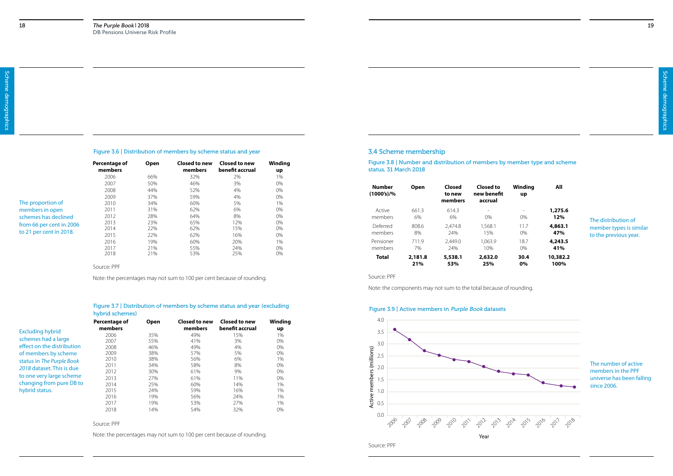#### Figure 3.6 | Distribution of members by scheme status and year

Figure 3.7 | Distribution of members by scheme status and year (excluding hybrid schemes)

|                          | Percentage of<br>members | <b>Open</b> | <b>Closed to new</b><br>members | <b>Closed to new</b><br>benefit accrual | Winding<br>up |
|--------------------------|--------------------------|-------------|---------------------------------|-----------------------------------------|---------------|
|                          | 2006                     | 66%         | 32%                             | 2%                                      | 1%            |
|                          | 2007                     | 50%         | 46%                             | 3%                                      | 0%            |
|                          | 2008                     | 44%         | 52%                             | 4%                                      | 0%            |
|                          | 2009                     | 37%         | 59%                             | 4%                                      | 0%            |
| The proportion of        | 2010                     | 34%         | 60%                             | 5%                                      | $1\%$         |
| members in open          | 2011                     | 31%         | 62%                             | 6%                                      | 0%            |
| schemes has declined     | 2012                     | 28%         | 64%                             | 8%                                      | 0%            |
| from 66 per cent in 2006 | 2013                     | 23%         | 65%                             | 12%                                     | 0%            |
| to 21 per cent in 2018.  | 2014                     | 22%         | 62%                             | 15%                                     | 0%            |
|                          | 2015                     | 22%         | 62%                             | 16%                                     | 0%            |
|                          | 2016                     | 19%         | 60%                             | 20%                                     | 1%            |
|                          | 2017                     | 21%         | 55%                             | 24%                                     | $0\%$         |
|                          | 2018                     | 21%         | 53%                             | 25%                                     | 0%            |

Source: PPF

Note: the percentages may not sum to 100 per cent because of rounding.

#### Source: PPF

Note: the percentages may not sum to 100 per cent because of rounding.

|                            | Percentage of<br>members | Open | Closed to new<br>members | <b>Closed to new</b><br>benefit accrual | Winding<br>up |
|----------------------------|--------------------------|------|--------------------------|-----------------------------------------|---------------|
| <b>Excluding hybrid</b>    | 2006                     | 35%  | 49%                      | 15%                                     | 1%            |
| schemes had a large        | 2007                     | 55%  | 41%                      | 3%                                      | 0%            |
| effect on the distribution | 2008                     | 46%  | 49%                      | 4%                                      | $0\%$         |
| of members by scheme       | 2009                     | 38%  | 57%                      | 5%                                      | $0\%$         |
| status in The Purple Book  | 2010                     | 38%  | 56%                      | 6%                                      | $1\%$         |
| 2018 dataset. This is due  | 2011                     | 34%  | 58%                      | 8%                                      | 0%            |
|                            | 2012                     | 30%  | 61%                      | $9\%$                                   | 0%            |
| to one very large scheme   | 2013                     | 27%  | 61%                      | 11%                                     | $0\%$         |
| changing from pure DB to   | 2014                     | 25%  | 60%                      | 14%                                     | $1\%$         |
| hybrid status.             | 2015                     | 24%  | 59%                      | 16%                                     | 1%            |
|                            | 2016                     | 19%  | 56%                      | 24%                                     | $1\%$         |
|                            | 2017                     | 19%  | 53%                      | 27%                                     | 1%            |
|                            | 2018                     | 14%  | 54%                      | 32%                                     | 0%            |

#### 3.4 Scheme membership

Figure 3.8 | Number and distribution of members by member type and scheme status, 31 March 2018

| <b>Number</b><br>$(1000's)/\%$ | <b>Open</b>    | <b>Closed</b><br>to new<br>members | Closed to<br>new benefit<br>accrual | Winding<br>up            | All              |                         |
|--------------------------------|----------------|------------------------------------|-------------------------------------|--------------------------|------------------|-------------------------|
| Active                         | 661.3          | 614.3                              | $\overline{\phantom{a}}$            | $\overline{\phantom{a}}$ | 1,275.6          | The distribution of     |
| members                        | 6%             | 6%                                 | $0\%$                               | 0%                       | 12%              |                         |
| Deferred                       | 808.6          | 2.474.8                            | 1.568.1                             | 11.7                     | 4,863.1          | member types is similar |
| members                        | 8%             | 24%                                | 15%                                 | $0\%$                    | 47%              | to the previous year.   |
| Pensioner                      | 711.9          | 2.449.0                            | 1.063.9                             | 18.7                     | 4,243.5          |                         |
| members                        | 7%             | 24%                                | 10%                                 | 0%                       | 41%              |                         |
| <b>Total</b>                   | 2,181.8<br>21% | 5,538.1<br>53%                     | 2,632.0<br>25%                      | 30.4<br>0%               | 10,382.2<br>100% |                         |

Source: PPF

Note: the components may not sum to the total because of rounding.

#### Figure 3.9 | Active members in Purple Book datasets

The number of active members in the PPF universe has been falling since 2006.

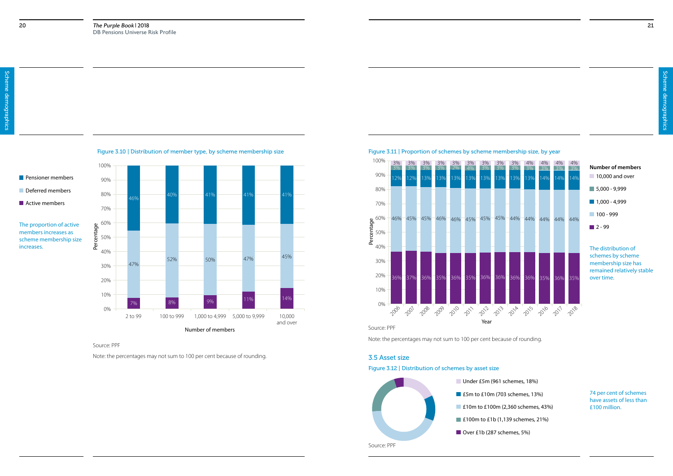## **Pensioner members**

Deferred members

**Active members** 

The proportion of active members increases as scheme membership size

schemes by scheme membership size has remained relatively stable over time.

#### Source: PPF



Note: the percentages may not sum to 100 per cent because of rounding.



Source: PPF



Note: the percentages may not sum to 100 per cent because of rounding.

## 10,000 and over 5,000 - 9,999 **Number of members**

- $1,000 4,999$
- **100 999**
- $\blacksquare$  2 99

### Figure 3.12 | Distribution of schemes by asset size



3.5 Asset size

74 per cent of schemes have assets of less than £100 million.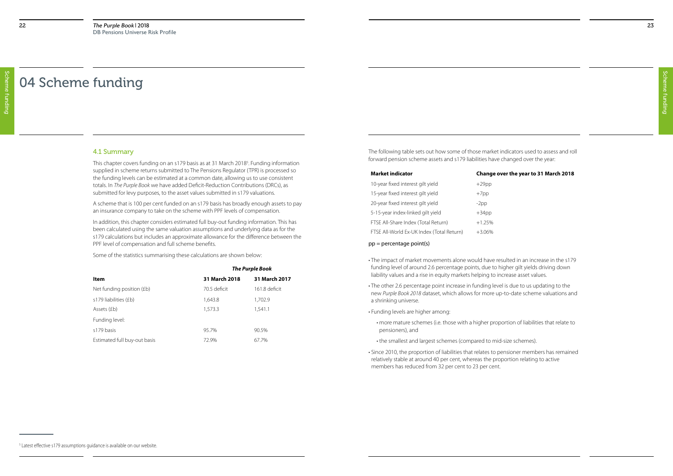Scheme funding

Scheme funding

The following table sets out how some of those market indicators used to assess and roll forward pension scheme assets and s179 liabilities have changed over the year:

#### **Market indicator Change over the year to 31 March 2018**

| <b>Market indicator</b>                   | Change ov |
|-------------------------------------------|-----------|
| 10-year fixed interest gilt yield         | $+29$ pp  |
| 15-year fixed interest gilt yield         | $+7$ pp   |
| 20-year fixed interest gilt yield         | $-2pp$    |
| 5-15-year index-linked gilt yield         | $+34$ pp  |
| FTSE All-Share Index (Total Return)       | $+1.25%$  |
| FTSE All-World Ex-UK Index (Total Return) | +3.06%    |

This chapter covers funding on an s179 basis as at 31 March 2018<sup>5</sup>. Funding information supplied in scheme returns submitted to The Pensions Regulator (TPR) is processed so the funding levels can be estimated at a common date, allowing us to use consistent totals. In *The Purple Book* we have added Deficit-Reduction Contributions (DRCs), as submitted for levy purposes, to the asset values submitted in s179 valuations.

- The impact of market movements alone would have resulted in an increase in the s179 funding level of around 2.6 percentage points, due to higher gilt yields driving down liability values and a rise in equity markets helping to increase asset values.
- The other 2.6 percentage point increase in funding level is due to us updating to the new *Purple Book 2018* dataset, which allows for more up-to-date scheme valuations and a shrinking universe.
- Funding levels are higher among:
	- more mature schemes (i.e. those with a higher proportion of liabilities that relate to pensioners), and
	- the smallest and largest schemes (compared to mid-size schemes).
- Since 2010, the proportion of liabilities that relates to pensioner members has remained relatively stable at around 40 per cent, whereas the proportion relating to active members has reduced from 32 per cent to 23 per cent.

#### 4.1 Summary

A scheme that is 100 per cent funded on an s179 basis has broadly enough assets to pay an insurance company to take on the scheme with PPF levels of compensation.

In addition, this chapter considers estimated full buy-out funding information. This has been calculated using the same valuation assumptions and underlying data as for the s179 calculations but includes an approximate allowance for the difference between the PPF level of compensation and full scheme benefits.

Some of the statistics summarising these calculations are shown below:

|                              | <b>The Purple Book</b> |               |  |  |
|------------------------------|------------------------|---------------|--|--|
| Item                         | 31 March 2018          | 31 March 2017 |  |  |
| Net funding position (£b)    | 70.5 deficit           | 161.8 deficit |  |  |
| s179 liabilities (£b)        | 1,643.8                | 1,702.9       |  |  |
| Assets (£b)                  | 1,573.3                | 1,541.1       |  |  |
| Funding level:               |                        |               |  |  |
| s179 basis                   | 95.7%                  | 90.5%         |  |  |
| Estimated full buy-out basis | 72.9%                  | 67.7%         |  |  |

## 04 Scheme funding

#### pp = percentage point(s)

<sup>&</sup>lt;sup>5</sup> Latest effective s179 assumptions quidance is available on our website.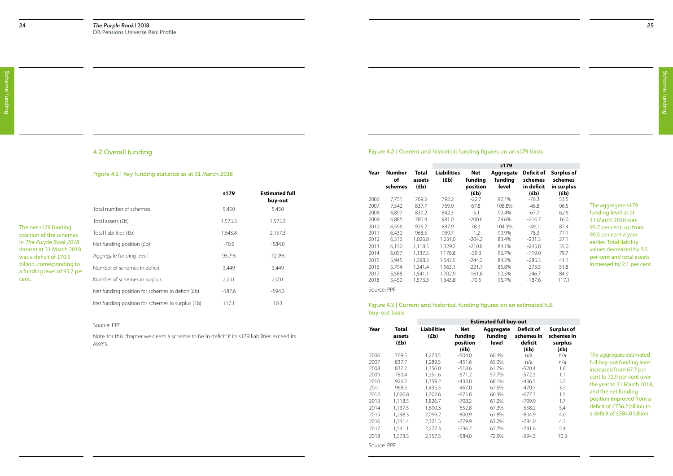### Figure 4.2 | Current and historical funding figures on an s179 basis

#### Figure 4.3 | Current and historical funding figures on an estimated full buy-out basis

|             |                                |                         |                            |                            | s179                          |                                            |                                            |
|-------------|--------------------------------|-------------------------|----------------------------|----------------------------|-------------------------------|--------------------------------------------|--------------------------------------------|
| Year        | <b>Number</b><br>οf<br>schemes | Total<br>assets<br>(Eb) | <b>Liabilities</b><br>(Eb) | Net<br>funding<br>position | Aggregate<br>funding<br>level | <b>Deficit of</b><br>schemes<br>in deficit | <b>Surplus of</b><br>schemes<br>in surplus |
|             |                                |                         |                            | (Eb)                       |                               | (Eb)                                       | (Eb)                                       |
| 2006        | 7,751                          | 769.5                   | 792.2                      | $-22.7$                    | 97.1%                         | $-76.3$                                    | 53.5                                       |
| 2007        | 7,542                          | 837.7                   | 769.9                      | 67.8                       | 108.8%                        | $-46.8$                                    | 96.5                                       |
| 2008        | 6,897                          | 837.2                   | 842.3                      | $-5.1$                     | 99.4%                         | $-67.7$                                    | 62.6                                       |
| 2009        | 6,885                          | 780.4                   | 981.0                      | $-200.6$                   | 79.6%                         | $-216.7$                                   | 16.0                                       |
| 2010        | 6,596                          | 926.2                   | 887.9                      | 38.3                       | 104.3%                        | $-49.1$                                    | 87.4                                       |
| 2011        | 6,432                          | 968.5                   | 969.7                      | $-1.2$                     | 99.9%                         | $-78.3$                                    | 77.1                                       |
| 2012        | 6,316                          | 1,026.8                 | 1,231.0                    | $-204.2$                   | 83.4%                         | $-231.3$                                   | 27.1                                       |
| 2013        | 6,150                          | 1,118.5                 | 1,329.2                    | $-210.8$                   | 84.1%                         | $-245.8$                                   | 35.0                                       |
| 2014        | 6,057                          | 1,137.5                 | 1,176.8                    | $-39.3$                    | 96.7%                         | $-119.0$                                   | 79.7                                       |
| 2015        | 5,945                          | 1,298.3                 | 1,542.5                    | $-244.2$                   | 84.2%                         | $-285.3$                                   | 41.1                                       |
| 2016        | 5,794                          | 1,341.4                 | 1,563.1                    | $-221.7$                   | 85.8%                         | $-273.5$                                   | 51.8                                       |
| 2017        | 5.588                          | 1.541.1                 | 1.702.9                    | $-161.8$                   | 90.5%                         | $-246.7$                                   | 84.9                                       |
| 2018        | 5,450                          | 1,573.3                 | 1,643.8                    | $-70.5$                    | 95.7%                         | $-187.6$                                   | 117.1                                      |
| Source: PPF |                                |                         |                            |                            |                               |                                            |                                            |

The aggregate s179 funding level as at 31 March 2018 was 95.7 per cent, up from 90.5 per cent a year earlier. Total liability values decreased by 3.5 per cent and total assets increased by 2.1 per cent.

The aggregate estimated full buy-out funding level increased from 67.7 per cent to 72.9 per cent over the year to 31 March 2018, and the net funding position improved from a deficit of £736.2 billion to a deficit of £584.0 billion.

|             |                         | <b>Estimated full buy-out</b> |                                   |                               |                                     |                                            |  |  |
|-------------|-------------------------|-------------------------------|-----------------------------------|-------------------------------|-------------------------------------|--------------------------------------------|--|--|
| Year        | Total<br>assets<br>(Eb) | <b>Liabilities</b><br>(Eb)    | <b>Net</b><br>funding<br>position | Aggregate<br>funding<br>level | Deficit of<br>schemes in<br>deficit | <b>Surplus of</b><br>schemes in<br>surplus |  |  |
|             |                         |                               | (Eb)                              |                               | (Eb)                                | (£b)                                       |  |  |
| 2006        | 769.5                   | 1.273.5                       | $-504.0$                          | 60.4%                         | n/a                                 | n/a                                        |  |  |
| 2007        | 837.7                   | 1,289.3                       | $-451.6$                          | 65.0%                         | n/a                                 | n/a                                        |  |  |
| 2008        | 837.2                   | 1,356.0                       | $-518.6$                          | 61.7%                         | $-520.4$                            | 1.6                                        |  |  |
| 2009        | 780.4                   | 1,351.6                       | $-571.2$                          | 57.7%                         | $-572.3$                            | 1.1                                        |  |  |
| 2010        | 926.2                   | 1,359.2                       | $-433.0$                          | 68.1%                         | $-436.5$                            | 3.5                                        |  |  |
| 2011        | 968.5                   | 1.435.5                       | $-467.0$                          | 67.5%                         | $-470.7$                            | 3.7                                        |  |  |
| 2012        | 1,026.8                 | 1,702.6                       | $-675.8$                          | 60.3%                         | $-677.3$                            | 1.5                                        |  |  |
| 2013        | 1,118.5                 | 1,826.7                       | $-708.2$                          | 61.2%                         | $-709.9$                            | 1.7                                        |  |  |
| 2014        | 1.137.5                 | 1,690.3                       | $-552.8$                          | 67.3%                         | $-558.2$                            | 5.4                                        |  |  |
| 2015        | 1,298.3                 | 2,099.2                       | $-800.9$                          | 61.8%                         | $-804.9$                            | 4.0                                        |  |  |
| 2016        | 1,341.4                 | 2,121.3                       | $-779.9$                          | 63.2%                         | $-784.0$                            | 4.1                                        |  |  |
| 2017        | 1,541.1                 | 2,277.3                       | $-736.2$                          | 67.7%                         | $-741.6$                            | 5.4                                        |  |  |
| 2018        | 1.573.3                 | 2.157.3                       | $-584.0$                          | 72.9%                         | $-594.3$                            | 10.3                                       |  |  |
| Source: PPF |                         |                               |                                   |                               |                                     |                                            |  |  |

## 4.2 Overall funding

#### Figure 4.1 | Key funding statistics as at 31 March 2018

|                                                  | s179    | <b>Estimated full</b> |
|--------------------------------------------------|---------|-----------------------|
|                                                  |         | buy-out               |
| Total number of schemes                          | 5,450   | 5,450                 |
| Total assets (£b)                                | 1,573.3 | 1,573.3               |
| Total liabilities (£b)                           | 1,643.8 | 2,157.3               |
| Net funding position (£b)                        | $-70.5$ | $-584.0$              |
| Aggregate funding level                          | 95.7%   | 72.9%                 |
| Number of schemes in deficit                     | 3,449   | 3,449                 |
| Number of schemes in surplus                     | 2,001   | 2,001                 |
| Net funding position for schemes in deficit (£b) | -187.6  | -594.3                |
| Net funding position for schemes in surplus (£b) | 117.1   | 10.3                  |
|                                                  |         |                       |

#### The net s179 funding position of the schemes in The Purple Book 2018 dataset at 31 March 2018 was a deficit of £70.5 billion, corresponding to a funding level of 95.7 per cent.

#### Source: PPF

Note: for this chapter we deem a scheme to be 'in deficit' if its s179 liabilities exceed its assets.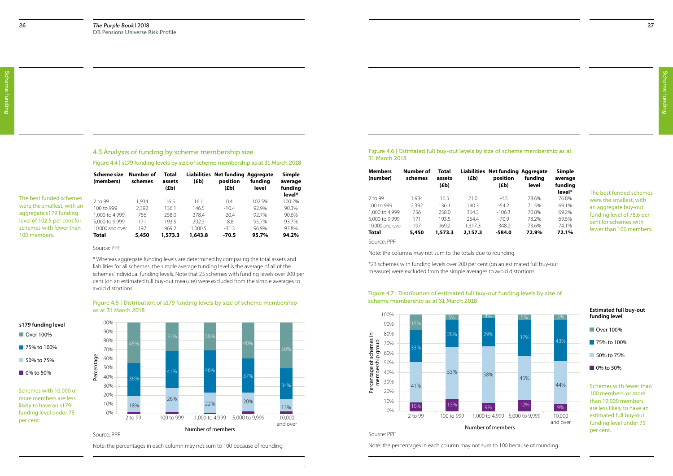#### 4.3 Analysis of funding by scheme membership size

#### Figure 4.4 | s179 funding levels by size of scheme membership as at 31 March 2018

Figure 4.5 | Distribution of s179 funding levels by size of scheme membership as at 31 March 2018

Source: PPF

\* Whereas aggregate funding levels are determined by comparing the total assets and liabilities for all schemes, the simple average funding level is the average of all of the schemes' individual funding levels. Note that 23 schemes with funding levels over 200 per cent (on an estimated full buy-out measure) were excluded from the simple averages to avoid distortions.

Note: the percentages in each column may not sum to 100 because of rounding.

- 75% to 100%
- **50% to 75%**
- **0% to 50%**



Schemes with 10,000 or more members are less likely to have an s179 funding level under 75 per cent.

|                             | Scheme size<br>(members) | Number of<br>schemes | Total<br>assets<br>(Eb) | <b>Liabilities</b><br>(Eb) | <b>Net funding Aggregate</b><br>position<br>(Eb) | fundina<br>level | Simple<br>average<br>funding |
|-----------------------------|--------------------------|----------------------|-------------------------|----------------------------|--------------------------------------------------|------------------|------------------------------|
| The best funded schemes     | 2 to 99                  | 1.934                | 16.5                    | 16.1                       | 0.4                                              | 102.5%           | level*<br>100.2%             |
| were the smallest, with an  | 100 to 999               | 2.392                | 136.1                   | 146.5                      | $-10.4$                                          | 92.9%            | 90.3%                        |
| aggregate s179 funding      | 1,000 to 4,999           | 756                  | 258.0                   | 278.4                      | $-20.4$                                          | 92.7%            | 90.6%                        |
| level of 102.5 per cent for | 5,000 to 9,999           | 171                  | 193.5                   | 202.3                      | $-8.8$                                           | 95.7%            | 93.7%                        |
| schemes with fewer than     | 10,000 and over          | 197                  | 969.2                   | 1.000.5                    | $-31.3$                                          | 96.9%            | 97.8%                        |
| 100 members.                | Total                    | 5,450                | 1,573.3                 | 1,643.8                    | $-70.5$                                          | 95.7%            | 94.2%                        |

■ Over 100% **s179 funding level**

#### Figure 4.6 | Estimated full buy-out levels by size of scheme membership as at 31 March 2018

| <b>Members</b><br>(number) | Number of<br>schemes | Total<br>assets<br>(£b) | Liabilities<br>(£b) | Net funding Aggregate<br>position<br>(£b) | funding<br>level | Simple<br>average<br>funding<br>level* |
|----------------------------|----------------------|-------------------------|---------------------|-------------------------------------------|------------------|----------------------------------------|
| 2 to 99                    | 1.934                | 16.5                    | 21.0                | $-4.5$                                    | 78.6%            | 76.8%                                  |
| 100 to 999                 | 2,392                | 136.1                   | 190.3               | $-54.2$                                   | 71.5%            | 69.1%                                  |
| 1,000 to 4,999             | 756                  | 258.0                   | 364.3               | $-106.3$                                  | 70.8%            | 69.2%                                  |
| 5,000 to 9,999             | 171                  | 193.5                   | 264.4               | $-709$                                    | 73.2%            | 69.5%                                  |
| 10,000 and over            | 197                  | 969.2                   | 1.317.3             | $-348.2$                                  | 73.6%            | 74.1%                                  |
| Total                      | 5,450                | 1,573.3                 | 2,157.3             | $-584.0$                                  | 72.9%            | 72.1%                                  |

Source: PPF

Note: the columns may not sum to the totals due to rounding.

\*23 schemes with funding levels over 200 per cent (on an estimated full buy-out measure) were excluded from the simple averages to avoid distortions.

Source: PPF

Note: the percentages in each column may not sum to 100 because of rounding.

#### Figure 4.7 | Distribution of estimated full buy-out funding levels by size of scheme membership as at 31 March 2018



The best funded schemes were the smallest, with an aggregate buy-out funding level of 78.6 per cent for schemes with fewer than 100 members.

Schemes with fewer than 100 members, or more than 10,000 members, are less likely to have an estimated full buy-out funding level under 75 per cent.

#### **Estimated full buy-out funding level**

- **Over 100%**
- 75% to 100%
- **50% to 75%**
- **0% to 50%**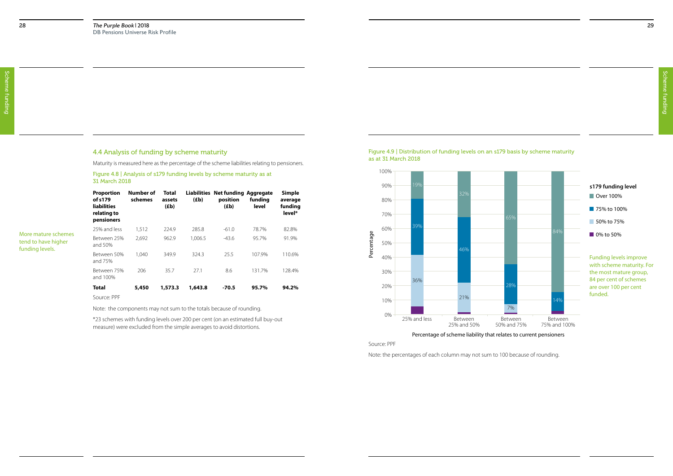Scheme funding Scheme funding

### 4.4 Analysis of funding by scheme maturity

Maturity is measured here as the percentage of the scheme liabilities relating to pensioners.

Figure 4.8 | Analysis of s179 funding levels by scheme maturity as at 31 March 2018



| <b>Proportion</b><br>of s179<br><b>liabilities</b><br>relating to<br>pensioners | Number of<br>schemes | Total<br>assets<br>(Eb) | (Eb)    | Liabilities Net funding Aggregate<br>position<br>(Eb) | funding<br>level | <b>Simple</b><br>average<br>funding<br>level* |
|---------------------------------------------------------------------------------|----------------------|-------------------------|---------|-------------------------------------------------------|------------------|-----------------------------------------------|
| 25% and less                                                                    | 1,512                | 224.9                   | 285.8   | $-61.0$                                               | 78.7%            | 82.8%                                         |
| Between 25%<br>and 50%                                                          | 2.692                | 962.9                   | 1.006.5 | $-43.6$                                               | 95.7%            | 91.9%                                         |
| Between 50%<br>and 75%                                                          | 1.040                | 349.9                   | 324.3   | 25.5                                                  | 107.9%           | 110.6%                                        |
| Between 75%<br>and 100%                                                         | 206                  | 35.7                    | 27.1    | 8.6                                                   | 131.7%           | 128.4%                                        |
| <b>Total</b>                                                                    | 5,450                | 1,573.3                 | 1,643.8 | $-70.5$                                               | 95.7%            | 94.2%                                         |
| $Con="C$                                                                        |                      |                         |         |                                                       |                  |                                               |

More mature schemes tend to have higher funding levels.

> Funding levels improve with scheme maturity. For the most mature group, 84 per cent of schemes are over 100 per cent

Note: the components may not sum to the totals because of rounding.

\*23 schemes with funding levels over 200 per cent (on an estimated full buy-out measure) were excluded from the simple averages to avoid distortions.

Source: PPF

Note: the percentages of each column may not sum to 100 because of rounding.

Percentage of scheme liability that relates to current pensioners



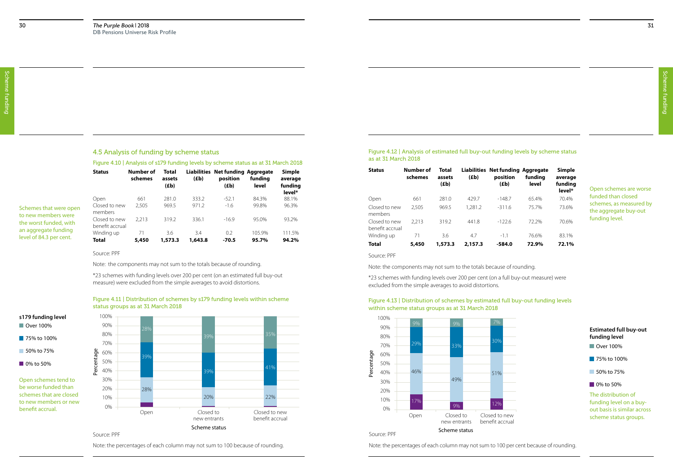### 4.5 Analysis of funding by scheme status

#### Figure 4.10 | Analysis of s179 funding levels by scheme status as at 31 March 2018

Figure 4.11 | Distribution of schemes by s179 funding levels within scheme status groups as at 31 March 2018

Source: PPF

|                                                 | <b>Status</b>                    | Number of<br>schemes | Total<br>assets<br>(Eb) | (Eb)           | Liabilities Net funding Aggregate<br>position<br>(Eb) | funding<br>level | <b>Simple</b><br>average<br>funding<br>level* |
|-------------------------------------------------|----------------------------------|----------------------|-------------------------|----------------|-------------------------------------------------------|------------------|-----------------------------------------------|
| Schemes that were open                          | Open<br>Closed to new<br>members | 661<br>2,505         | 281.0<br>969.5          | 333.2<br>971.2 | $-52.1$<br>$-1.6$                                     | 84.3%<br>99.8%   | 88.1%<br>96.3%                                |
| to new members were<br>the worst funded, with   | Closed to new<br>benefit accrual | 2.213                | 319.2                   | 336.1          | $-16.9$                                               | 95.0%            | 93.2%                                         |
| an aggregate funding<br>level of 84.3 per cent. | Winding up<br>Total              | 71<br>5,450          | 3.6<br>1,573.3          | 3.4<br>1,643.8 | 0.2<br>$-70.5$                                        | 105.9%<br>95.7%  | 111.5%<br>94.2%                               |

Note: the components may not sum to the totals because of rounding.

\*23 schemes with funding levels over 200 per cent (on an estimated full buy-out measure) were excluded from the simple averages to avoid distortions.

Note: the percentages of each column may not sum to 100 because of rounding.



Source: PPF

Open schemes tend to be worse funded than schemes that are closed to new members or new benefit accrual.

#### ■ Over 100% **s179 funding level**

- 75% to 100%
- 50% to 75%
- 0% to 50%

Figure 4.12 | Analysis of estimated full buy-out funding levels by scheme status as at 31 March 2018

| <b>Status</b>                    | Number of<br>schemes | Total<br>assets<br>(£b) | (Eb)    | Liabilities Net funding Aggregate<br>position<br>(Eb) | funding<br>level | Simple<br>average<br>funding<br>level* |
|----------------------------------|----------------------|-------------------------|---------|-------------------------------------------------------|------------------|----------------------------------------|
| Open                             | 661                  | 281.0                   | 429.7   | $-148.7$                                              | 65.4%            | 70.4%                                  |
| Closed to new<br>members         | 2,505                | 969.5                   | 1,281.2 | $-311.6$                                              | 75.7%            | 73.6%                                  |
| Closed to new<br>benefit accrual | 2.213                | 319.2                   | 4418    | $-1226$                                               | 72.2%            | 70.6%                                  |
| Winding up                       | 71                   | 3.6                     | 4.7     | $-1.1$                                                | 76.6%            | 83.1%                                  |
| Total                            | 5,450                | 1,573.3                 | 2,157.3 | $-584.0$                                              | 72.9%            | 72.1%                                  |

Open schemes are worse funded than closed schemes, as measured by the aggregate buy-out funding level.

Source: PPF

Note: the components may not sum to the totals because of rounding.

\*23 schemes with funding levels over 200 per cent (on a full buy-out measure) were excluded from the simple averages to avoid distortions.

#### Figure 4.13 | Distribution of schemes by estimated full buy-out funding levels within scheme status groups as at 31 March 2018

Note: the percentages of each column may not sum to 100 per cent because of rounding.



|     | <b>Estimated full buy-out</b> |
|-----|-------------------------------|
|     | funding level                 |
|     | $\blacksquare$ Over 100%      |
|     | $-75\%$ to 100%               |
|     | 50% to 75%                    |
|     | 0% to 50%                     |
|     | The distribution of           |
|     | funding level on a buy-       |
| ⊇W  | out basis is similar across   |
| ual | scheme status groups.         |
|     |                               |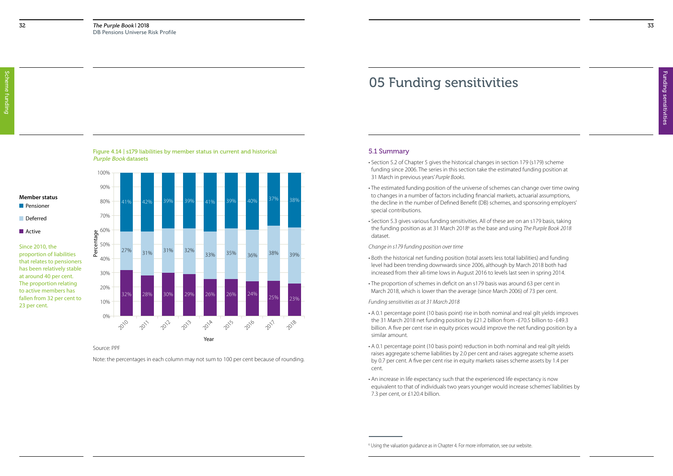Funding sensitivities Funding sensitivities

### Figure 4.14 | s179 liabilities by member status in current and historical Purple Book datasets

Since 2010, the proportion of liabilities that relates to pensioners has been relatively stable at around 40 per cent. The proportion relating to active members has fallen from 32 per cent to 23 per cent.

Source: PPF

Note: the percentages in each column may not sum to 100 per cent because of rounding.

## 05 Funding sensitivities

## 5.1 Summary

- Section 5.2 of Chapter 5 gives the historical changes in section 179 (s179) scheme funding since 2006. The series in this section take the estimated funding position at 31 March in previous years' *Purple Books*.
- The estimated funding position of the universe of schemes can change over time owing to changes in a number of factors including financial markets, actuarial assumptions, the decline in the number of Defined Benefit (DB) schemes, and sponsoring employers' special contributions.
- Section 5.3 gives various funding sensitivities. All of these are on an s179 basis, taking the funding position as at 31 March 20186 as the base and using *The Purple Book 2018* dataset.

*Change in s179 funding position over time*



- Both the historical net funding position (total assets less total liabilities) and funding level had been trending downwards since 2006, although by March 2018 both had increased from their all-time lows in August 2016 to levels last seen in spring 2014.
- The proportion of schemes in deficit on an s179 basis was around 63 per cent in March 2018, which is lower than the average (since March 2006) of 73 per cent.

*Funding sensitivities as at 31 March 2018*

- A 0.1 percentage point (10 basis point) rise in both nominal and real gilt yields improves the 31 March 2018 net funding position by £21.2 billion from -£70.5 billion to -£49.3 billion. A five per cent rise in equity prices would improve the net funding position by a similar amount.
- A 0.1 percentage point (10 basis point) reduction in both nominal and real gilt yields raises aggregate scheme liabilities by 2.0 per cent and raises aggregate scheme assets by 0.7 per cent. A five per cent rise in equity markets raises scheme assets by 1.4 per cent.
- An increase in life expectancy such that the experienced life expectancy is now equivalent to that of individuals two years younger would increase schemes' liabilities by 7.3 per cent, or £120.4 billion.

## **Member status**

**Pensioner** 

## **Deferred Active**

<sup>6</sup> Using the valuation guidance as in Chapter 4. For more information, see our website.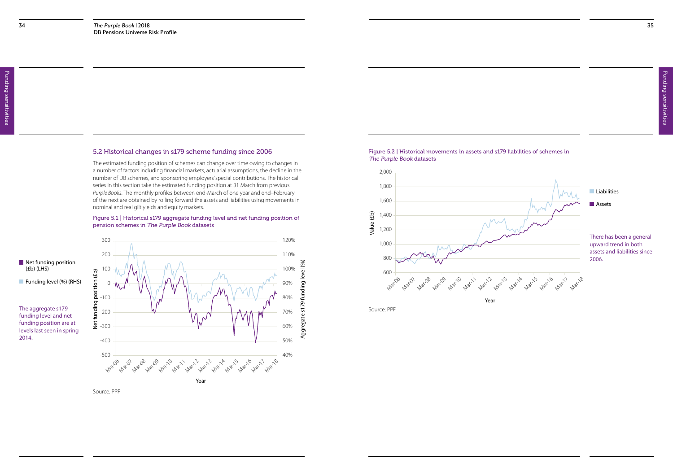### 5.2 Historical changes in s179 scheme funding since 2006

The estimated funding position of schemes can change over time owing to changes in a number of factors including financial markets, actuarial assumptions, the decline in the number of DB schemes, and sponsoring employers' special contributions. The historical series in this section take the estimated funding position at 31 March from previous *Purple Books*. The monthly profiles between end-March of one year and end–February of the next are obtained by rolling forward the assets and liabilities using movements in nominal and real gilt yields and equity markets.

Net funding position (£b) (LHS)

**Funding level (%) (RHS)** 

#### Figure 5.1 | Historical s179 aggregate funding level and net funding position of pension schemes in The Purple Book datasets

Figure 5.2 | Historical movements in assets and s179 liabilities of schemes in The Purple Book datasets



The aggregate s179 funding level and net funding position are at levels last seen in spring 2014.

Source: PPF

Source: PPF

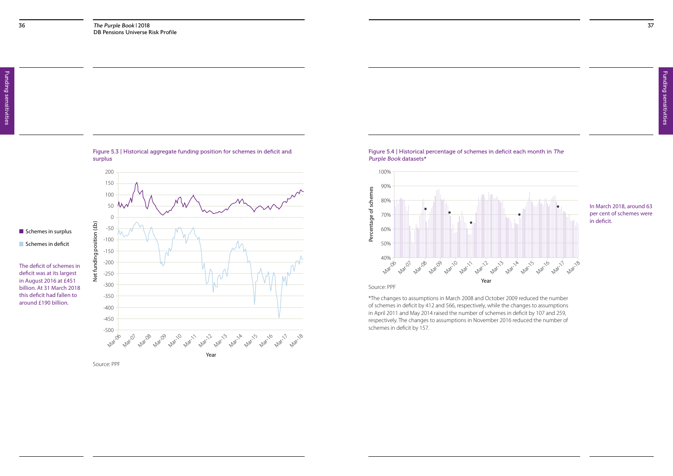Net funding position (£b)





 $\blacksquare$  Schemes in surplus Schemes in deficit

#### Figure 5.4 | Historical percentage of schemes in deficit each month in The Purple Book datasets\*

The deficit of schemes in deficit was at its largest in August 2016 at £451 billion. At 31 March 2018 this deficit had fallen to around £190 billion.

In March 2018, around 63 per cent of schemes were in deficit.



Source: PPF

\*The changes to assumptions in March 2008 and October 2009 reduced the number of schemes in deficit by 412 and 566, respectively, while the changes to assumptions in April 2011 and May 2014 raised the number of schemes in deficit by 107 and 259, respectively. The changes to assumptions in November 2016 reduced the number of schemes in deficit by 157.

Source: PPF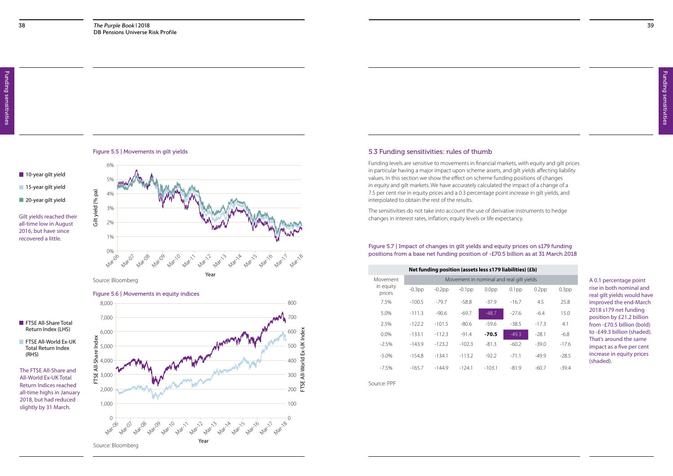#### 10-year gilt yield

15-year gilt yield

20-year gilt yield

Figure 5.5 | Movements in gilt yields

Gilt yield (% pa)

Gilt yield (% pa)



Gilt yields reached their all-time low in August 2016, but have since recovered a little.

Source: Bloomberg

### 5.3 Funding sensitivities: rules of thumb

Funding levels are sensitive to movements in financial markets, with equity and gilt prices in particular having a major impact upon scheme assets, and gilt yields affecting liability values. In this section we show the effect on scheme funding positions of changes in equity and gilt markets. We have accurately calculated the impact of a change of a 7.5 per cent rise in equity prices and a 0.3 percentage point increase in gilt yields, and interpolated to obtain the rest of the results.

**FTSE All-World Ex-UK** Total Return Index (RHS)

The sensitivities do not take into account the use of derivative instruments to hedge changes in interest rates, inflation, equity levels or life expectancy.

The FTSE All-Share and All-World Ex-UK Total Return Indices reached all-time highs in January 2018, but had reduced slightly by 31 March.

Figure 5.6 | Movements in equity indices

FTSE All-Share Index





#### Figure 5.7 | Impact of changes in gilt yields and equity prices on s179 funding positions from a base net funding position of -£70.5 billion as at 31 March 2018

Source: PPF

| Net funding position (assets less s179 liabilities) (£b) |           |           |           |                   |                                          |          |                   |  |  |  |
|----------------------------------------------------------|-----------|-----------|-----------|-------------------|------------------------------------------|----------|-------------------|--|--|--|
| Movement                                                 |           |           |           |                   | Movement in nominal and real gilt yields |          |                   |  |  |  |
| in equity<br>prices                                      | $-0.3$ pp | $-0.2$ pp | $-0.1$ pp | 0.0 <sub>pp</sub> | $0.1$ pp                                 | $0.2$ pp | 0.3 <sub>pp</sub> |  |  |  |
| 7.5%                                                     | $-100.5$  | $-79.7$   | $-58.8$   | $-37.9$           | $-16.7$                                  | 45       | 25.8              |  |  |  |
| 5.0%                                                     | $-111.3$  | $-90.6$   | $-69.7$   | $-48.7$           | $-276$                                   | $-6.4$   | 15.0              |  |  |  |
| 2.5%                                                     | $-122.2$  | $-101.5$  | $-80.6$   | $-59.6$           | $-38.5$                                  | $-17.3$  | 4.1               |  |  |  |
| $0.0\%$                                                  | $-133.1$  | $-112.3$  | $-91.4$   | $-70.5$           | $-49.3$                                  | $-28.1$  | $-6.8$            |  |  |  |
| $-2.5%$                                                  | $-143.9$  | $-123.2$  | $-102.3$  | $-81.3$           | $-60.2$                                  | $-39.0$  | $-17.6$           |  |  |  |
| $-5.0\%$                                                 | $-154.8$  | $-134.1$  | $-113.2$  | $-92.2$           | $-71.1$                                  | $-499$   | $-28.5$           |  |  |  |
| $-7.5%$                                                  | $-165.7$  | $-1449$   | $-124.1$  | $-103.1$          | $-81.9$                                  | $-60.7$  | $-39.4$           |  |  |  |

A 0.1 percentage point rise in both nominal and real gilt yields would have improved the end-March 2018 s179 net funding position by £21.2 billion from -£70.5 billion (bold) to -£49.3 billion (shaded). That's around the same impact as a five per cent increase in equity prices (shaded).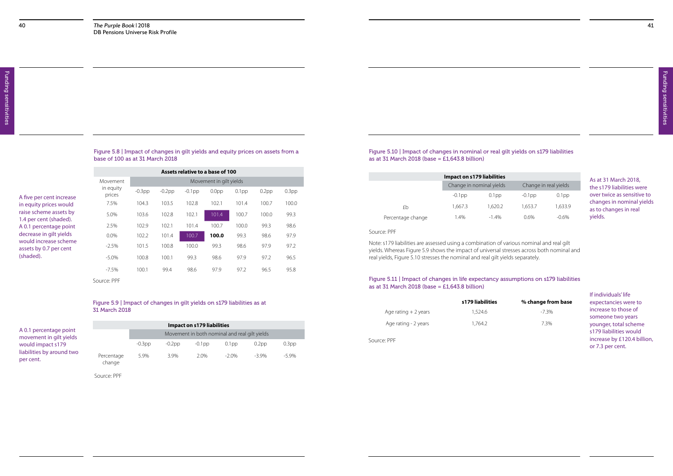Figure 5.8 | Impact of changes in gilt yields and equity prices on assets from a

base of 100 as at 31 March 2018

Source: PPF

#### Figure 5.11 | Impact of changes in life expectancy assumptions on s179 liabilities as at 31 March 2018 (base =  $E1,643.8$  billion)

### Figure 5.10 | Impact of changes in nominal or real gilt yields on s179 liabilities as at 31 March 2018 (base =  $E1,643.8$  billion)

|                                                  | Movement            | Movement in gilt yields |           |           |                   |          |          |                   |  |
|--------------------------------------------------|---------------------|-------------------------|-----------|-----------|-------------------|----------|----------|-------------------|--|
| A five per cent increase                         | in equity<br>prices | $-0.3$ pp               | $-0.2$ pp | $-0.1$ pp | 0.0 <sub>pp</sub> | $0.1$ pp | $0.2$ pp | 0.3 <sub>pp</sub> |  |
| in equity prices would                           | 7.5%                | 104.3                   | 103.5     | 102.8     | 102.1             | 101.4    | 100.7    | 100.0             |  |
| raise scheme assets by<br>1.4 per cent (shaded). | 5.0%                | 103.6                   | 102.8     | 102.1     | 101.4             | 100.7    | 100.0    | 99.3              |  |
| A 0.1 percentage point                           | 2.5%                | 102.9                   | 102.1     | 101.4     | 100.7             | 100.0    | 99.3     | 98.6              |  |
| decrease in gilt yields                          | 0.0%                | 102.2                   | 101.4     | 100.7     | 100.0             | 99.3     | 98.6     | 97.9              |  |
| would increase scheme<br>assets by 0.7 per cent  | $-2.5%$             | 101.5                   | 100.8     | 100.0     | 99.3              | 98.6     | 97.9     | 97.2              |  |
| (shaded).                                        | $-5.0\%$            | 100.8                   | 100.1     | 99.3      | 98.6              | 97.9     | 97.2     | 96.5              |  |
|                                                  | $-7.5\%$            | 100.1                   | 99.4      | 98.6      | 97.9              | 97.2     | 96.5     | 95.8              |  |
|                                                  | Source: PPF         |                         |           |           |                   |          |          |                   |  |

#### Figure 5.9 | Impact of changes in gilt yields on s179 liabilities as at 31 March 2018

| <b>Impact on s179 liabilities</b> |           |           |           |                                               |          |                   |  |  |  |
|-----------------------------------|-----------|-----------|-----------|-----------------------------------------------|----------|-------------------|--|--|--|
|                                   |           |           |           | Movement in both nominal and real gilt yields |          |                   |  |  |  |
|                                   | $-0.3$ pp | $-0.2$ pp | $-0.1$ pp | 0.1 <sub>pp</sub>                             | $0.2$ pp | 0.3 <sub>pp</sub> |  |  |  |
| Percentage<br>change              | 5.9%      | 3.9%      | 20%       | $-2.0\%$                                      | $-3.9%$  | $-5.9\%$          |  |  |  |

A 0.1 percentage point movement in gilt yields would impact s179 liabilities by around two per cent.

If individuals' life expectancies were to increase to those of someone two years younger, total scheme s179 liabilities would increase by £120.4 billion, or 7.3 per cent.

As at 31 March 2018, the s179 liabilities were over twice as sensitive to changes in nominal yields as to changes in real yields.

#### Source: PPF

Note: s179 liabilities are assessed using a combination of various nominal and real gilt yields. Whereas Figure 5.9 shows the impact of universal stresses across both nominal and real yields, Figure 5.10 stresses the nominal and real gilt yields separately.

#### **s179 liabilities % change from base**

|                       | s179 liabilities | % change fro |
|-----------------------|------------------|--------------|
| Age rating $+2$ years | 1,524.6          | $-7.3%$      |
| Age rating - 2 years  | 1.764.2          | 7.3%         |

| npact on s179 liabilities |          |                       |          |
|---------------------------|----------|-----------------------|----------|
| Change in nominal yields  |          | Change in real yields |          |
| $-0.1$ pp                 | $0.1$ pp | $-0.1$ pp             | $0.1$ pp |
| 1,667.3                   | 1,620.2  | 1,653.7               | 1,633.9  |
| 1.4%                      | $-1.4%$  | 0.6%                  | $-0.6\%$ |

| <b>Impact on s179 liabilities</b> |                          |          |                       |          |  |  |  |
|-----------------------------------|--------------------------|----------|-----------------------|----------|--|--|--|
|                                   | Change in nominal yields |          | Change in real yields |          |  |  |  |
|                                   | $-0.1$ pp                | $0.1$ pp | $-0.1$ pp             | $0.1$ pp |  |  |  |
| £b                                | 1,667.3                  | 1,620.2  | 1,653.7               | 1,633.9  |  |  |  |
| Percentage change                 | 1.4%                     | $-1.4%$  | 0.6%                  | $-0.6\%$ |  |  |  |

Source: PPF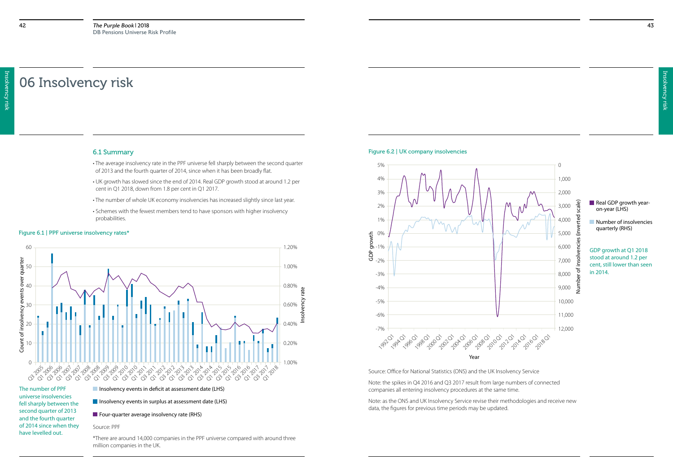Insolvency risk Insolvency risk

## 06 Insolvency risk

#### 6.1 Summary

- The average insolvency rate in the PPF universe fell sharply between the second quarter of 2013 and the fourth quarter of 2014, since when it has been broadly flat.
- UK growth has slowed since the end of 2014. Real GDP growth stood at around 1.2 per cent in Q1 2018, down from 1.8 per cent in Q1 2017.
- The number of whole UK economy insolvencies has increased slightly since last year.
- Schemes with the fewest members tend to have sponsors with higher insolvency probabilities.

The number of PPF universe insolvencies fell sharply between the second quarter of 2013 and the fourth quarter of 2014 since when they have levelled out.

#### $\blacksquare$  Insolvency events in deficit at assessment date (LHS)

 $\blacksquare$  Insolvency events in surplus at assessment date (LHS)

 $\blacksquare$  Four-quarter average insolvency rate (RHS)

#### Figure 6.1 | PPF universe insolvency rates\*

- Real GDP growth yearon-year (LHS)
- **Number of insolvencies** quarterly (RHS)



#### Source: PPF

\*There are around 14,000 companies in the PPF universe compared with around three million companies in the UK.

#### Figure 6.2 | UK company insolvencies



Source: Office for National Statistics (ONS) and the UK Insolvency Service

Note: the spikes in Q4 2016 and Q3 2017 result from large numbers of connected companies all entering insolvency procedures at the same time.

Note: as the ONS and UK Insolvency Service revise their methodologies and receive new data, the figures for previous time periods may be updated.

GDP growth at Q1 2018 stood at around 1.2 per cent, still lower than seen in 2014.

- 
- 
-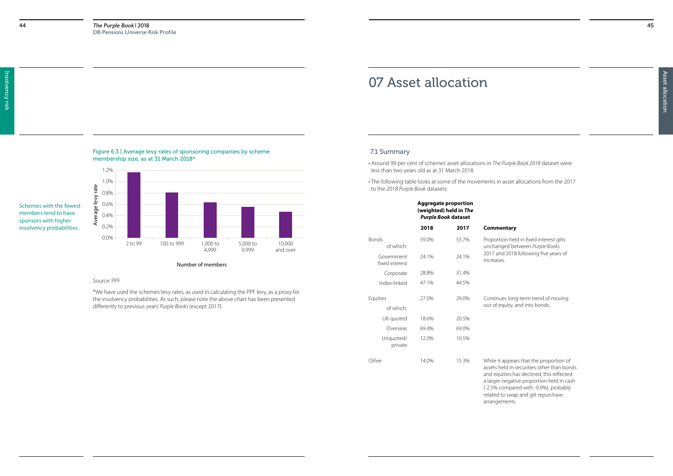#### Figure 6.3 | Average levy rates of sponsoring companies by scheme membership size, as at 31 March 2018\*

members tend to have sponsors with higher

#### Source: PPF

\*We have used the schemes' levy rates, as used in calculating the PPF levy, as a proxy for the insolvency probabilities. As such, please note the above chart has been presented differently to previous years' *Purple Books* (except 2017).

#### Number of members



## 07 Asset allocation

### 7.1 Summary

- Around 99 per cent of schemes' asset allocations in *The Purple Book 2018* dataset were less than two years old as at 31 March 2018.
- The following table looks at some of the movements in asset allocations from the 2017 to the 2018 *Purple Book* datasets:

opears that the proportion of I in securities other than bonds ies has declined, this reflected egative proportion held in cash (-2.5% compared with -0.9%), probably related to swap and gilt repurchase arrangements.

#### **Aggregate proportion (weighted) held in** *The Purple Book* **dataset**

#### **2018 2017 Commentary**

held in fixed interest gilts ed between *Purple Books* 2018 following five years of

Iong-term trend of moving ity, and into bonds.

|                              | 2018  | 2017  | Comment                                                   |
|------------------------------|-------|-------|-----------------------------------------------------------|
| <b>Bonds</b><br>of which:    | 59.0% | 55.7% | Proportion<br>unchanged                                   |
| Government<br>fixed interest | 24.1% | 24.1% | 2017 and 2<br>increases.                                  |
| Corporate                    | 28.8% | 31.4% |                                                           |
| Index-linked                 | 47.1% | 44.5% |                                                           |
| Equities<br>of which:        | 27.0% | 29.0% | Continues<br>out of equi                                  |
| UK-quoted                    | 18.6% | 20.5% |                                                           |
| Overseas                     | 69.4% | 69.0% |                                                           |
| Unquoted/<br>private         | 12.0% | 10.5% |                                                           |
| Other                        | 14.0% | 15.3% | While it ap<br>assets held<br>and equitie<br>a larger nee |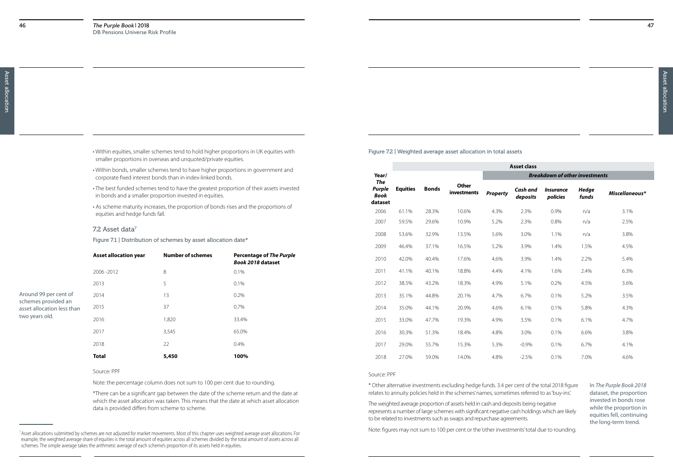| . Within equities, smaller schemes tend to hold higher proportions in UK equities with |
|----------------------------------------------------------------------------------------|
| smaller proportions in overseas and unquoted/private equities.                         |

- Within bonds, smaller schemes tend to have higher proportions in government and corporate fixed interest bonds than in index-linked bonds.
- The best funded schemes tend to have the greatest proportion of their assets invested in bonds and a smaller proportion invested in equities.
- As scheme maturity increases, the proportion of bonds rises and the proportions of equities and hedge funds fall.

#### 7.2 Asset data<sup>7</sup>

Figure 7.1 | Distribution of schemes by asset allocation date\*

#### Source: PPF

Note: the percentage column does not sum to 100 per cent due to rounding.

|                                                   | <b>Asset allocation year</b> | <b>Number of schemes</b> | <b>Percentage of The Purple</b><br><b>Book 2018 dataset</b> |
|---------------------------------------------------|------------------------------|--------------------------|-------------------------------------------------------------|
|                                                   | 2006-2012                    | 8                        | 0.1%                                                        |
|                                                   | 2013                         | 5                        | $0.1\%$                                                     |
| Around 99 per cent of                             | 2014                         | 13                       | 0.2%                                                        |
| schemes provided an<br>asset allocation less than | 2015                         | 37                       | 0.7%                                                        |
| two years old.                                    | 2016                         | 1,820                    | 33.4%                                                       |
|                                                   | 2017                         | 3,545                    | 65.0%                                                       |
|                                                   | 2018                         | 22                       | 0.4%                                                        |
|                                                   | <b>Total</b>                 | 5,450                    | 100%                                                        |

\*There can be a significant gap between the date of the scheme return and the date at which the asset allocation was taken. This means that the date at which asset allocation data is provided differs from scheme to scheme.

Figure 7.2 | Weighted average asset allocation in total assets

## **Asset class**

|                                                       |                 |              |                             |                 | <b>Asset class</b>   |                                       |                       |                |
|-------------------------------------------------------|-----------------|--------------|-----------------------------|-----------------|----------------------|---------------------------------------|-----------------------|----------------|
| Year/                                                 |                 |              |                             |                 |                      | <b>Breakdown of other investments</b> |                       |                |
| <b>The</b><br><b>Purple</b><br><b>Book</b><br>dataset | <b>Equities</b> | <b>Bonds</b> | <b>Other</b><br>investments | <b>Property</b> | Cash and<br>deposits | <i><b>Insurance</b></i><br>policies   | <b>Hedge</b><br>funds | Miscellaneous* |
| 2006                                                  | 61.1%           | 28.3%        | 10.6%                       | 4.3%            | 2.3%                 | 0.9%                                  | n/a                   | 3.1%           |
| 2007                                                  | 59.5%           | 29.6%        | 10.9%                       | 5.2%            | 2.3%                 | 0.8%                                  | n/a                   | 2.5%           |
| 2008                                                  | 53.6%           | 32.9%        | 13.5%                       | 5.6%            | 3.0%                 | 1.1%                                  | n/a                   | 3.8%           |
| 2009                                                  | 46.4%           | 37.1%        | 16.5%                       | 5.2%            | 3.9%                 | 1.4%                                  | 1.5%                  | 4.5%           |
| 2010                                                  | 42.0%           | 40.4%        | 17.6%                       | 4.6%            | 3.9%                 | 1.4%                                  | 2.2%                  | 5.4%           |
| 2011                                                  | 41.1%           | 40.1%        | 18.8%                       | 4.4%            | 4.1%                 | 1.6%                                  | 2.4%                  | 6.3%           |
| 2012                                                  | 38.5%           | 43.2%        | 18.3%                       | 4.9%            | 5.1%                 | 0.2%                                  | 4.5%                  | 3.6%           |
| 2013                                                  | 35.1%           | 44.8%        | 20.1%                       | 4.7%            | 6.7%                 | 0.1%                                  | 5.2%                  | 3.5%           |
| 2014                                                  | 35.0%           | 44.1%        | 20.9%                       | 4.6%            | 6.1%                 | 0.1%                                  | 5.8%                  | 4.3%           |
| 2015                                                  | 33.0%           | 47.7%        | 19.3%                       | 4.9%            | 3.5%                 | 0.1%                                  | 6.1%                  | 4.7%           |
| 2016                                                  | 30.3%           | 51.3%        | 18.4%                       | 4.8%            | 3.0%                 | 0.1%                                  | 6.6%                  | 3.8%           |
| 2017                                                  | 29.0%           | 55.7%        | 15.3%                       | 5.3%            | $-0.9%$              | 0.1%                                  | 6.7%                  | 4.1%           |
| 2018                                                  | 27.0%           | 59.0%        | 14.0%                       | 4.8%            | $-2.5%$              | 0.1%                                  | 7.0%                  | 4.6%           |
|                                                       |                 |              |                             |                 |                      |                                       |                       |                |

#### Source: PPF

\* Other alternative investments excluding hedge funds. 3.4 per cent of the total 2018 figure relates to annuity policies held in the schemes' names, sometimes referred to as 'buy-ins'.

The weighted average proportion of assets held in cash and deposits being negative represents a number of large schemes with significant negative cash holdings which are likely to be related to investments such as swaps and repurchase agreements.

Note: figures may not sum to 100 per cent or the 'other investments' total due to rounding.

In *The Purple Book 2018* dataset, the proportion invested in bonds rose while the proportion in equities fell, continuing the long-term trend.

<sup>&</sup>lt;sup>7</sup> Asset allocations submitted by schemes are not adjusted for market movements. Most of this chapter uses weighted average asset allocations. For example, the weighted average share of equities is the total amount of equities across all schemes divided by the total amount of assets across all schemes. The simple average takes the arithmetic average of each scheme's proportion of its assets held in equities.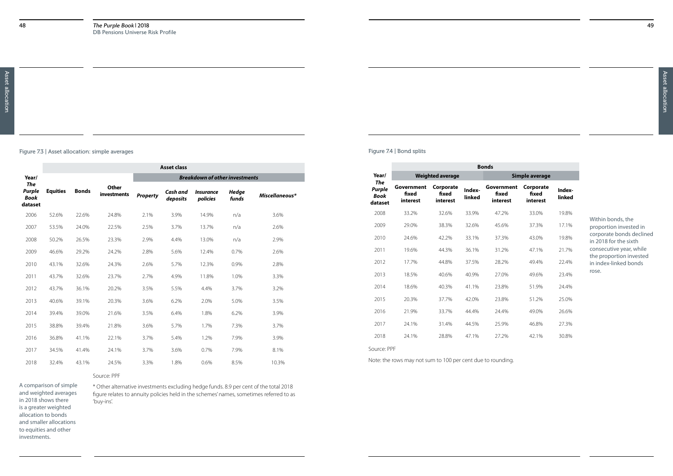Figure 7.3 | Asset allocation: simple averages

|                                                       |                 |              |                                    |                 | <b>Asset class</b>   |                                       |                       |                |
|-------------------------------------------------------|-----------------|--------------|------------------------------------|-----------------|----------------------|---------------------------------------|-----------------------|----------------|
| Year/                                                 |                 |              |                                    |                 |                      | <b>Breakdown of other investments</b> |                       |                |
| <b>The</b><br><b>Purple</b><br><b>Book</b><br>dataset | <b>Equities</b> | <b>Bonds</b> | <b>Other</b><br><b>investments</b> | <b>Property</b> | Cash and<br>deposits | <i><b>Insurance</b></i><br>policies   | <b>Hedge</b><br>funds | Miscellaneous* |
| 2006                                                  | 52.6%           | 22.6%        | 24.8%                              | 2.1%            | 3.9%                 | 14.9%                                 | n/a                   | 3.6%           |
| 2007                                                  | 53.5%           | 24.0%        | 22.5%                              | 2.5%            | 3.7%                 | 13.7%                                 | n/a                   | 2.6%           |
| 2008                                                  | 50.2%           | 26.5%        | 23.3%                              | 2.9%            | 4.4%                 | 13.0%                                 | n/a                   | 2.9%           |
| 2009                                                  | 46.6%           | 29.2%        | 24.2%                              | 2.8%            | 5.6%                 | 12.4%                                 | 0.7%                  | 2.6%           |
| 2010                                                  | 43.1%           | 32.6%        | 24.3%                              | 2.6%            | 5.7%                 | 12.3%                                 | 0.9%                  | 2.8%           |
| 2011                                                  | 43.7%           | 32.6%        | 23.7%                              | 2.7%            | 4.9%                 | 11.8%                                 | 1.0%                  | 3.3%           |
| 2012                                                  | 43.7%           | 36.1%        | 20.2%                              | 3.5%            | 5.5%                 | 4.4%                                  | 3.7%                  | 3.2%           |
| 2013                                                  | 40.6%           | 39.1%        | 20.3%                              | 3.6%            | 6.2%                 | 2.0%                                  | 5.0%                  | 3.5%           |
| 2014                                                  | 39.4%           | 39.0%        | 21.6%                              | 3.5%            | 6.4%                 | 1.8%                                  | 6.2%                  | 3.9%           |
| 2015                                                  | 38.8%           | 39.4%        | 21.8%                              | 3.6%            | 5.7%                 | 1.7%                                  | 7.3%                  | 3.7%           |
| 2016                                                  | 36.8%           | 41.1%        | 22.1%                              | 3.7%            | 5.4%                 | 1.2%                                  | 7.9%                  | 3.9%           |
| 2017                                                  | 34.5%           | 41.4%        | 24.1%                              | 3.7%            | 3.6%                 | 0.7%                                  | 7.9%                  | 8.1%           |
| 2018                                                  | 32.4%           | 43.1%        | 24.5%                              | 3.3%            | 1.8%                 | 0.6%                                  | 8.5%                  | 10.3%          |

#### Source: PPF

\* Other alternative investments excluding hedge funds. 8.9 per cent of the total 2018 figure relates to annuity policies held in the schemes' names, sometimes referred to as 'buy-ins'.

A comparison of simple and weighted averages in 2018 shows there is a greater weighted allocation to bonds and smaller allocations to equities and other investments.

Figure 7.4 | Bond splits

Note: the rows may not sum to 100 per cent due to rounding.

|                                                | <b>Bonds</b>                    |                                |                  |                                 |                                |                  |  |
|------------------------------------------------|---------------------------------|--------------------------------|------------------|---------------------------------|--------------------------------|------------------|--|
| Year/                                          |                                 | <b>Weighted average</b>        |                  | Simple average                  |                                |                  |  |
| The<br><b>Purple</b><br><b>Book</b><br>dataset | Government<br>fixed<br>interest | Corporate<br>fixed<br>interest | Index-<br>linked | Government<br>fixed<br>interest | Corporate<br>fixed<br>interest | Index-<br>linked |  |
| 2008                                           | 33.2%                           | 32.6%                          | 33.9%            | 47.2%                           | 33.0%                          | 19.8%            |  |
| 2009                                           | 29.0%                           | 38.3%                          | 32.6%            | 45.6%                           | 37.3%                          | 17.1%            |  |
| 2010                                           | 24.6%                           | 42.2%                          | 33.1%            | 37.3%                           | 43.0%                          | 19.8%            |  |
| 2011                                           | 19.6%                           | 44.3%                          | 36.1%            | 31.2%                           | 47.1%                          | 21.7%            |  |
| 2012                                           | 17.7%                           | 44.8%                          | 37.5%            | 28.2%                           | 49.4%                          | 22.4%            |  |
| 2013                                           | 18.5%                           | 40.6%                          | 40.9%            | 27.0%                           | 49.6%                          | 23.4%            |  |
| 2014                                           | 18.6%                           | 40.3%                          | 41.1%            | 23.8%                           | 51.9%                          | 24.4%            |  |
| 2015                                           | 20.3%                           | 37.7%                          | 42.0%            | 23.8%                           | 51.2%                          | 25.0%            |  |
| 2016                                           | 21.9%                           | 33.7%                          | 44.4%            | 24.4%                           | 49.0%                          | 26.6%            |  |
| 2017                                           | 24.1%                           | 31.4%                          | 44.5%            | 25.9%                           | 46.8%                          | 27.3%            |  |
| 2018                                           | 24.1%                           | 28.8%                          | 47.1%            | 27.2%                           | 42.1%                          | 30.8%            |  |
| Source: PPF                                    |                                 |                                |                  |                                 |                                |                  |  |

Within bonds, the proportion invested in corporate bonds declined in 2018 for the sixth consecutive year, while the proportion invested in index-linked bonds rose.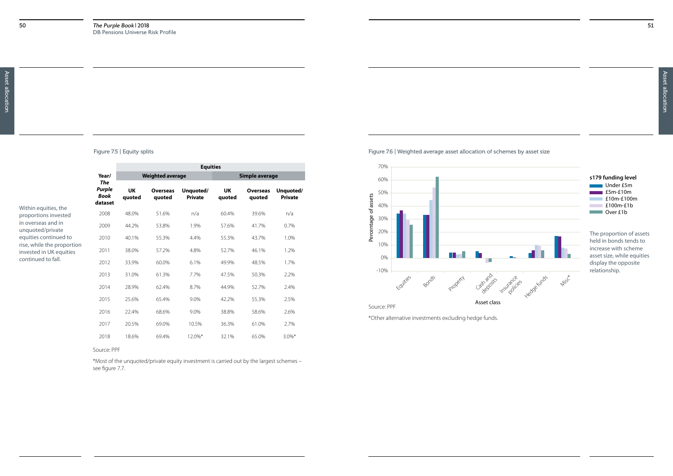Figure 7.5 | Equity splits

Source: PPF

\*Most of the unquoted/private equity investment is carried out by the largest schemes – see figure 7.7.

|                                                       |                                                | <b>Equities</b> |                           |                             |                |                           |                             |  |
|-------------------------------------------------------|------------------------------------------------|-----------------|---------------------------|-----------------------------|----------------|---------------------------|-----------------------------|--|
|                                                       | Year/                                          |                 | <b>Weighted average</b>   |                             | Simple average |                           |                             |  |
| Within equities, the                                  | The<br><b>Purple</b><br><b>Book</b><br>dataset | UK<br>quoted    | <b>Overseas</b><br>quoted | Unquoted/<br><b>Private</b> | UK<br>quoted   | <b>Overseas</b><br>quoted | Unquoted/<br><b>Private</b> |  |
| proportions invested                                  | 2008                                           | 48.0%           | 51.6%                     | n/a                         | 60.4%          | 39.6%                     | n/a                         |  |
| in overseas and in<br>unquoted/private                | 2009                                           | 44.2%           | 53.8%                     | 1.9%                        | 57.6%          | 41.7%                     | 0.7%                        |  |
| equities continued to                                 | 2010                                           | 40.1%           | 55.3%                     | 4.4%                        | 55.3%          | 43.7%                     | 1.0%                        |  |
| rise, while the proportion<br>invested in UK equities | 2011                                           | 38.0%           | 57.2%                     | 4.8%                        | 52.7%          | 46.1%                     | 1.2%                        |  |
| continued to fall.                                    | 2012                                           | 33.9%           | 60.0%                     | 6.1%                        | 49.9%          | 48.5%                     | 1.7%                        |  |
|                                                       | 2013                                           | 31.0%           | 61.3%                     | 7.7%                        | 47.5%          | 50.3%                     | 2.2%                        |  |
|                                                       | 2014                                           | 28.9%           | 62.4%                     | 8.7%                        | 44.9%          | 52.7%                     | 2.4%                        |  |
|                                                       | 2015                                           | 25.6%           | 65.4%                     | 9.0%                        | 42.2%          | 55.3%                     | 2.5%                        |  |
|                                                       | 2016                                           | 22.4%           | 68.6%                     | 9.0%                        | 38.8%          | 58.6%                     | 2.6%                        |  |
|                                                       | 2017                                           | 20.5%           | 69.0%                     | 10.5%                       | 36.3%          | 61.0%                     | 2.7%                        |  |
|                                                       | 2018                                           | 18.6%           | 69.4%                     | 12.0%*                      | 32.1%          | 65.0%                     | $3.0\%$ *                   |  |

\*Other alternative investments excluding hedge funds.





#### Under £5m  $E5m-E10m$ **E10m-£100m** £100m-£1b **Over £1b s179 funding level**

The proportion of assets held in bonds tends to increase with scheme asset size, while equities display the opposite relationship.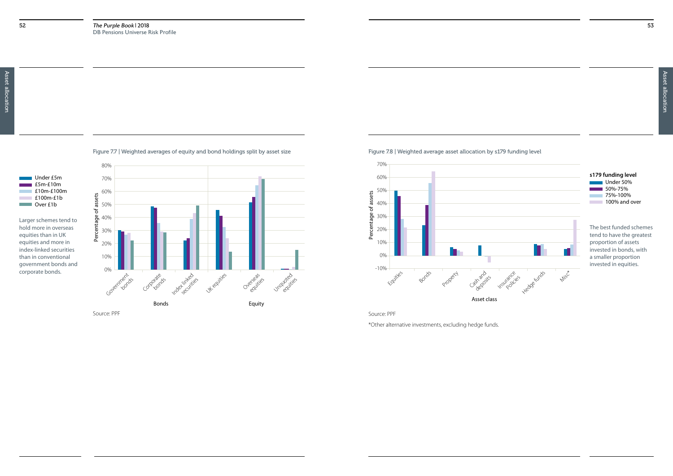Asset allocation Asset allocation

Figure 7.7 | Weighted averages of equity and bond holdings split by asset size

Source: PPF





Larger schemes tend to hold more in overseas equities than in UK equities and more in index-linked securities than in conventional government bonds and corporate bonds.

#### Under 50%  $50\% - 75\%$ 75%-100% **100% and over s179 funding level**

Source: PPF

\*Other alternative investments, excluding hedge funds.

Figure 7.8 | Weighted average asset allocation by s179 funding level



The best funded schemes tend to have the greatest proportion of assets invested in bonds, with a smaller proportion invested in equities.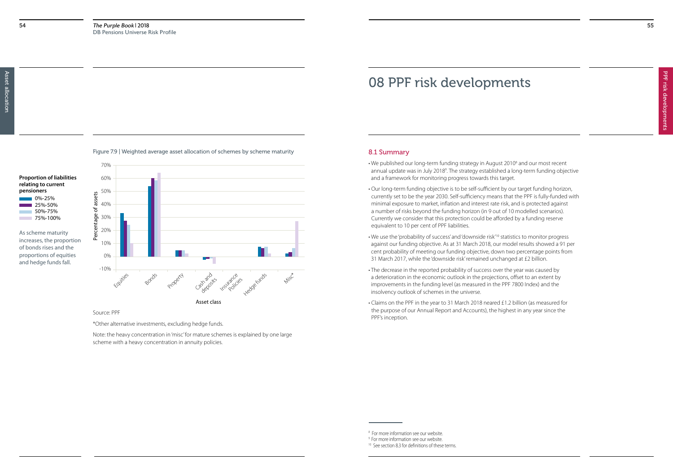

#### Source: PPF

\*Other alternative investments, excluding hedge funds.

Note: the heavy concentration in 'misc' for mature schemes is explained by one large scheme with a heavy concentration in annuity policies.





As scheme maturity increases, the proportion of bonds rises and the proportions of equities and hedge funds fall.

55

#### 8.1 Summary

- We published our long-term funding strategy in August 2010<sup>8</sup> and our most recent annual update was in July 2018<sup>9</sup>. The strategy established a long-term funding objective and a framework for monitoring progress towards this target.
- Our long-term funding objective is to be self-sufficient by our target funding horizon, currently set to be the year 2030. Self-sufficiency means that the PPF is fully-funded with minimal exposure to market, inflation and interest rate risk, and is protected against a number of risks beyond the funding horizon (in 9 out of 10 modelled scenarios). Currently we consider that this protection could be afforded by a funding reserve equivalent to 10 per cent of PPF liabilities.
- We use the 'probability of success' and 'downside risk'10 statistics to monitor progress against our funding objective. As at 31 March 2018, our model results showed a 91 per cent probability of meeting our funding objective, down two percentage points from 31 March 2017, while the 'downside risk' remained unchanged at £2 billion.
- The decrease in the reported probability of success over the year was caused by a deterioration in the economic outlook in the projections, offset to an extent by improvements in the funding level (as measured in the PPF 7800 Index) and the insolvency outlook of schemes in the universe.
- Claims on the PPF in the year to 31 March 2018 neared £1.2 billion (as measured for the purpose of our Annual Report and Accounts), the highest in any year since the PPF's inception.

## 08 PPF risk developments

<sup>8</sup> For more information see our website. 9 For more information see our website.

<sup>&</sup>lt;sup>10</sup> See section 8.3 for definitions of these terms.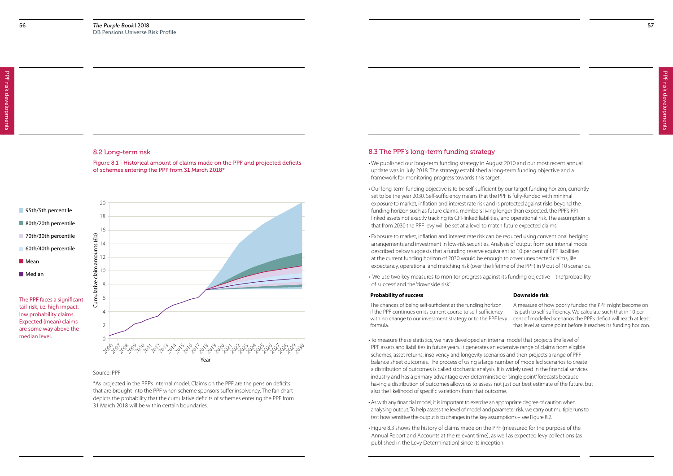#### 8.2 Long-term risk

Figure 8.1 | Historical amount of claims made on the PPF and projected deficits of schemes entering the PPF from 31 March 2018\*

#### Source: PPF

\*As projected in the PPF's internal model. Claims on the PPF are the pension deficits that are brought into the PPF when scheme sponsors suffer insolvency. The fan chart depicts the probability that the cumulative deficits of schemes entering the PPF from 31 March 2018 will be within certain boundaries.



95th/5th percentile

The PPF faces a significant tail-risk, i.e. high impact, low probability claims. Expected (mean) claims are some way above the median level.

#### 8.3 The PPF's long-term funding strategy

- We published our long-term funding strategy in August 2010 and our most recent annual update was in July 2018. The strategy established a long-term funding objective and a framework for monitoring progress towards this target.
- Our long-term funding objective is to be self-sufficient by our target funding horizon, currently set to be the year 2030. Self-sufficiency means that the PPF is fully-funded with minimal exposure to market, inflation and interest rate risk and is protected against risks beyond the funding horizon such as future claims, members living longer than expected, the PPF's RPIlinked assets not exactly tracking its CPI-linked liabilities, and operational risk. The assumption is that from 2030 the PPF levy will be set at a level to match future expected claims.
- Exposure to market, inflation and interest rate risk can be reduced using conventional hedging arrangements and investment in low-risk securities. Analysis of output from our internal model described below suggests that a funding reserve equivalent to 10 per cent of PPF liabilities at the current funding horizon of 2030 would be enough to cover unexpected claims, life expectancy, operational and matching risk (over the lifetime of the PPF) in 9 out of 10 scenarios.
- We use two key measures to monitor progress against its funding objective the 'probability of success' and the 'downside risk'.

#### **Probability of success Downside risk**



- To measure these statistics, we have developed an internal model that projects the level of PPF assets and liabilities in future years. It generates an extensive range of claims from eligible schemes, asset returns, insolvency and longevity scenarios and then projects a range of PPF balance sheet outcomes. The process of using a large number of modelled scenarios to create a distribution of outcomes is called stochastic analysis. It is widely used in the financial services industry and has a primary advantage over deterministic or 'single point' forecasts because having a distribution of outcomes allows us to assess not just our best estimate of the future, but also the likelihood of specific variations from that outcome.
- As with any financial model, it is important to exercise an appropriate degree of caution when analysing output. To help assess the level of model and parameter risk, we carry out multiple runs to test how sensitive the output is to changes in the key assumptions – see Figure 8.2.
- Figure 8.3 shows the history of claims made on the PPF (measured for the purpose of the Annual Report and Accounts at the relevant time), as well as expected levy collections (as published in the Levy Determination) since its inception.

The chances of being self-sufficient at the funding horizon if the PPF continues on its current course to self-sufficiency with no change to our investment strategy or to the PPF levy formula. A measure of how poorly funded the PPF might become on its path to self-sufficiency. We calculate such that in 10 per cent of modelled scenarios the PPF's deficit will reach at least that level at some point before it reaches its funding horizon.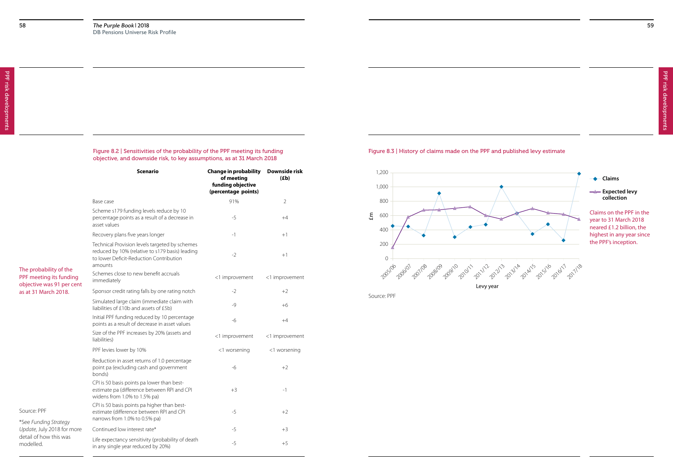#### Figure 8.2 | Sensitivities of the probability of the PPF meeting its funding objective, and downside risk, to key assumptions, as at 31 March 2018

|                                                                                | <b>Scenario</b>                                                                                                                                         | <b>Change in probability</b><br>of meeting<br>funding objective<br>(percentage points) | Downside risk<br>(Eb) |
|--------------------------------------------------------------------------------|---------------------------------------------------------------------------------------------------------------------------------------------------------|----------------------------------------------------------------------------------------|-----------------------|
|                                                                                | Base case                                                                                                                                               | 91%                                                                                    | $\overline{2}$        |
|                                                                                | Scheme s179 funding levels reduce by 10<br>percentage points as a result of a decrease in<br>asset values                                               | $-5$                                                                                   | $+4$                  |
|                                                                                | Recovery plans five years longer                                                                                                                        | $-1$                                                                                   | $+1$                  |
|                                                                                | Technical Provision levels targeted by schemes<br>reduced by 10% (relative to s179 basis) leading<br>to lower Deficit-Reduction Contribution<br>amounts | $-2$                                                                                   | $+1$                  |
| The probability of the<br>PPF meeting its funding<br>objective was 91 per cent | Schemes close to new benefit accruals<br>immediately                                                                                                    | <1 improvement                                                                         | <1 improvement        |
| as at 31 March 2018.                                                           | Sponsor credit rating falls by one rating notch                                                                                                         | $-2$                                                                                   | $+2$                  |
|                                                                                | Simulated large claim (immediate claim with<br>liabilities of £10b and assets of £5b)                                                                   | $-9$                                                                                   | $+6$                  |
|                                                                                | Initial PPF funding reduced by 10 percentage<br>points as a result of decrease in asset values                                                          | $-6$                                                                                   | $+4$                  |
|                                                                                | Size of the PPF increases by 20% (assets and<br>liabilities)                                                                                            | <1 improvement                                                                         | <1 improvement        |
|                                                                                | PPF levies lower by 10%                                                                                                                                 | <1 worsening                                                                           | <1 worsening          |
|                                                                                | Reduction in asset returns of 1.0 percentage<br>point pa (excluding cash and government<br>bonds)                                                       | -6                                                                                     | $+2$                  |
|                                                                                | CPI is 50 basis points pa lower than best-<br>estimate pa (difference between RPI and CPI<br>widens from 1.0% to 1.5% pa)                               | $+3$                                                                                   | $-1$                  |
| Source: PPF                                                                    | CPI is 50 basis points pa higher than best-<br>estimate (difference between RPI and CPI                                                                 | $-5$                                                                                   | $+2$                  |
| *See Funding Strategy                                                          | narrows from 1.0% to 0.5% pa)                                                                                                                           |                                                                                        |                       |
| Update, July 2018 for more                                                     | Continued low interest rate*                                                                                                                            | $-5$                                                                                   | $+3$                  |
| detail of how this was<br>modelled.                                            | Life expectancy sensitivity (probability of death<br>in any single year reduced by 20%)                                                                 | $-5$                                                                                   | $+5$                  |

Source: PPF

#### Figure 8.3 | History of claims made on the PPF and published levy estimate



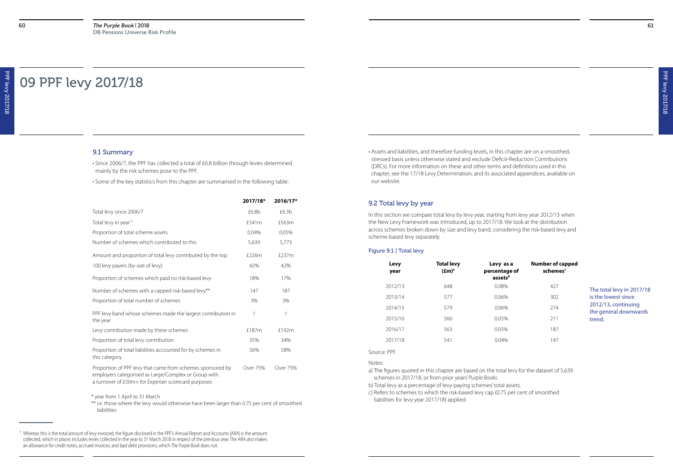#### 9.1 Summary

• Since 2006/7, the PPF has collected a total of £6.8 billion through levies determined mainly by the risk schemes pose to the PPF.

• Some of the key statistics from this chapter are summarised in the following table:

<sup>11</sup> Whereas this is the total amount of levy invoiced, the figure disclosed in the PPF's Annual Report and Accounts (ARA) is the amount collected, which in places includes levies collected in the year to 31 March 2018 in respect of the previous year. The ARA also makes an allowance for credit notes, accrued invoices, and bad debt provisions, which *The Purple Book* does not.

\* year from 1 April to 31 March

\*\* i.e. those where the levy would otherwise have been larger than 0.75 per cent of smoothed liabilities

|                                                                                                                                                                           | 2017/18* | 2016/17*          |
|---------------------------------------------------------------------------------------------------------------------------------------------------------------------------|----------|-------------------|
| Total levy since 2006/7                                                                                                                                                   | £6.8b    | £6.3 <sub>b</sub> |
| Total levy in year <sup>11</sup>                                                                                                                                          | £541m    | £563m             |
| Proportion of total scheme assets                                                                                                                                         | 0.04%    | 0.05%             |
| Number of schemes which contributed to this                                                                                                                               | 5,639    | 5,773             |
| Amount and proportion of total levy contributed by the top                                                                                                                | £226m    | £237m             |
| 100 levy payers (by size of levy)                                                                                                                                         | 42%      | 42%               |
| Proportion of schemes which paid no risk-based levy                                                                                                                       | 18%      | 17%               |
| Number of schemes with a capped risk-based levy**                                                                                                                         | 147      | 187               |
| Proportion of total number of schemes                                                                                                                                     | 3%       | 3%                |
| PPF levy band whose schemes made the largest contribution in<br>the year                                                                                                  | 1        | 1                 |
| Levy contribution made by these schemes                                                                                                                                   | £187m    | £192m             |
| Proportion of total levy contribution                                                                                                                                     | 35%      | 34%               |
| Proportion of total liabilities accounted for by schemes in<br>this category                                                                                              | 56%      | 58%               |
| Proportion of PPF levy that came from schemes sponsored by<br>employers categorised as Large/Complex or Group with<br>a turnover of £50m+ for Experian scorecard purposes | Over 75% | Over 75%          |

## 09 PPF levy 2017/18

• Assets and liabilities, and therefore funding levels, in this chapter are on a smoothed, stressed basis unless otherwise stated and exclude Deficit-Reduction Contributions (DRCs). For more information on these and other terms and definitions used in this chapter, see the 17/18 Levy Determination, and its associated appendices, available on our website.

#### 9.2 Total levy by year

In this section we compare total levy by levy year, starting from levy year 2012/13 when the New Levy Framework was introduced, up to 2017/18. We look at the distribution across schemes broken down by size and levy band, considering the risk-based levy and scheme-based levy separately.

#### Figure 9.1 | Total levy

#### Source: PPF

Notes:

a) The figures quoted in this chapter are based on the total levy for the dataset of 5,639 schemes in 2017/18, or from prior years' *Purple Books*.

| Levy<br>year | <b>Total levy</b><br>$(\text{fm})^{\text{a}}$ | Levy as a<br>percentage of<br>assetsb | <b>Number of capped</b><br>schemes <sup>c</sup> |                                              |
|--------------|-----------------------------------------------|---------------------------------------|-------------------------------------------------|----------------------------------------------|
| 2012/13      | 648                                           | $0.08\%$                              | 427                                             | The total levy in 2017/18                    |
| 2013/14      | 577                                           | 0.06%                                 | 302                                             | is the lowest since                          |
| 2014/15      | 579                                           | $0.06\%$                              | 274                                             | 2012/13, continuing<br>the general downwards |
| 2015/16      | 560                                           | 0.05%                                 | 211                                             | trend.                                       |
| 2016/17      | 563                                           | 0.05%                                 | 187                                             |                                              |
| 2017/18      | 541                                           | $0.04\%$                              | 147                                             |                                              |
|              |                                               |                                       |                                                 |                                              |

b) Total levy as a percentage of levy-paying schemes' total assets. c) Refers to schemes to which the risk-based levy cap (0.75 per cent of smoothed liabilities for levy year 2017/18) applied.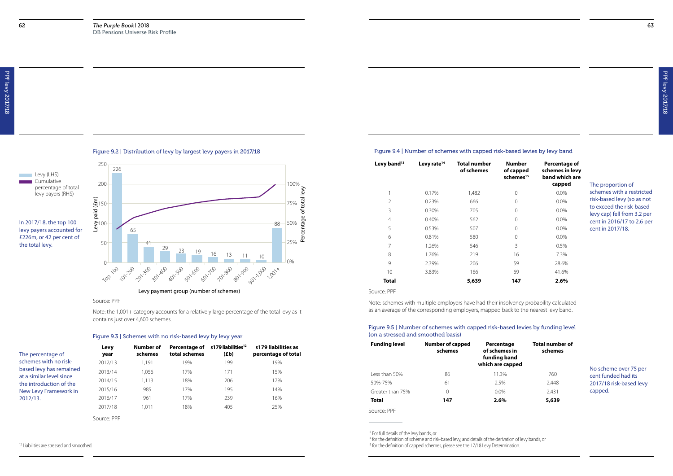#### Source: PPF

Note: the 1,001+ category accounts for a relatively large percentage of the total levy as it contains just over 4,600 schemes.







**Levy (LHS)** 

#### Figure 9.3 | Schemes with no risk-based levy by levy year

| The percentage of                                   | Levy<br>year | Number of<br>schemes | Percentage of<br>total schemes | s 179 liabilities <sup>12</sup><br>(Eb) | s179 liabilities as<br>percentage of total |
|-----------------------------------------------------|--------------|----------------------|--------------------------------|-----------------------------------------|--------------------------------------------|
| schemes with no risk-                               | 2012/13      | 1.191                | 19%                            | 199                                     | 19%                                        |
| based levy has remained                             | 2013/14      | 1,056                | 17%                            | 171                                     | 15%                                        |
| at a similar level since<br>the introduction of the | 2014/15      | 1,113                | 18%                            | 206                                     | 17%                                        |
| New Levy Framework in                               | 2015/16      | 985                  | 17%                            | 195                                     | 14%                                        |
| 2012/13.                                            | 2016/17      | 961                  | 17%                            | 239                                     | 16%                                        |
|                                                     | 2017/18      | 1.011                | 18%                            | 405                                     | 25%                                        |
|                                                     | Source: PPF  |                      |                                |                                         |                                            |

#### <sup>12</sup> Liabilities are stressed and smoothed.

#### Figure 9.4 | Number of schemes with capped risk-based levies by levy band

| lumber<br>capped<br>hemes $^{\rm 15}$ | Percentage of<br>schemes in levy<br>band which are<br>capped |
|---------------------------------------|--------------------------------------------------------------|
| 0                                     | $0.0\%$                                                      |
|                                       |                                                              |
| $\Omega$                              | $0.0\%$                                                      |
| $\Omega$                              | $0.0\%$                                                      |
| $\Omega$                              | 0.0%                                                         |
| $\Omega$                              | $0.0\%$                                                      |
| $\overline{O}$                        | $0.0\%$                                                      |
| 3                                     | 0.5%                                                         |
| 16                                    | 7.3%                                                         |
| 59                                    | 28.6%                                                        |
| 69                                    | 41.6%                                                        |
| 147                                   | $2.6\%$                                                      |

| Levy band <sup>13</sup> | Levy rate <sup>14</sup> | <b>Total number</b><br>of schemes | <b>Number</b><br>of capped<br>schemes <sup>15</sup> | Percentag<br>schemes ir<br>band whic<br>cappe |
|-------------------------|-------------------------|-----------------------------------|-----------------------------------------------------|-----------------------------------------------|
|                         | 0.17%                   | 1,482                             | $\Omega$                                            | 0.0%                                          |
| $\overline{2}$          | 0.23%                   | 666                               | $\Omega$                                            | 0.0%                                          |
| 3                       | 0.30%                   | 705                               | $\Omega$                                            | $0.0\%$                                       |
| $\overline{4}$          | 0.40%                   | 562                               | $\Omega$                                            | 0.0%                                          |
| 5                       | 0.53%                   | 507                               | $\Omega$                                            | $0.0\%$                                       |
| 6                       | 0.81%                   | 580                               | $\Omega$                                            | 0.0%                                          |
| 7                       | 1.26%                   | 546                               | 3                                                   | 0.5%                                          |
| 8                       | 1.76%                   | 219                               | 16                                                  | 7.3%                                          |
| 9                       | 2.39%                   | 206                               | 59                                                  | 28.6%                                         |
| 10                      | 3.83%                   | 166                               | 69                                                  | 41.6%                                         |
| Total                   |                         | 5,639                             | 147                                                 | 2.6%                                          |

Source: PPF

Note: schemes with multiple employers have had their insolvency probability calculated as an average of the corresponding employers, mapped back to the nearest levy band.

The proportion of schemes with a restricted risk-based levy (so as not to exceed the risk-based levy cap) fell from 3.2 per cent in 2016/17 to 2.6 per cent in 2017/18.

### Figure 9.5 | Number of schemes with capped risk-based levies by funding level (on a stressed and smoothed basis)

| <b>Funding level</b> | <b>Number of capped</b><br>schemes | Percentage<br>of schemes in<br>funding band<br>which are capped | <b>Total number of</b><br>schemes |                                              |
|----------------------|------------------------------------|-----------------------------------------------------------------|-----------------------------------|----------------------------------------------|
| Less than 50%        | 86                                 | 11.3%                                                           | 760                               | No scheme over 75 per<br>cent funded had its |
| 50%-75%              | 61                                 | 2.5%                                                            | 2,448                             | 2017/18 risk-based levy                      |
| Greater than 75%     | $\Omega$                           | $0.0\%$                                                         | 2,431                             | capped.                                      |
| <b>Total</b>         | 147                                | 2.6%                                                            | 5,639                             |                                              |
|                      |                                    |                                                                 |                                   |                                              |

Source: PPF

<sup>&</sup>lt;sup>13</sup> For full details of the levy bands, or

<sup>&</sup>lt;sup>14</sup> for the definition of scheme and risk-based levy, and details of the derivation of levy bands, or <sup>15</sup> for the definition of capped schemes, please see the 17/18 Levy Determination.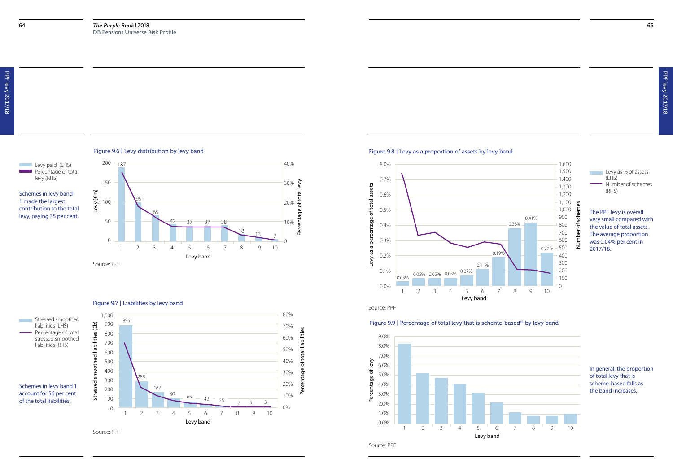

### Source: PPF

Schemes in levy band 1 made the largest contribution to the total levy, paying 35 per cent.





#### Figure 9.7 | Liabilities by levy band



Figure 9.9 | Percentage of total levy that is scheme-based<sup>16</sup> by levy band

### Levy as % of assets (LHS)







Number of schemes (RHS)

The PPF levy is overall very small compared with the value of total assets. The average proportion was 0.04% per cent in 2017/18.



Source: PPF

#### In general, the proportion of total levy that is scheme-based falls as the band increases.

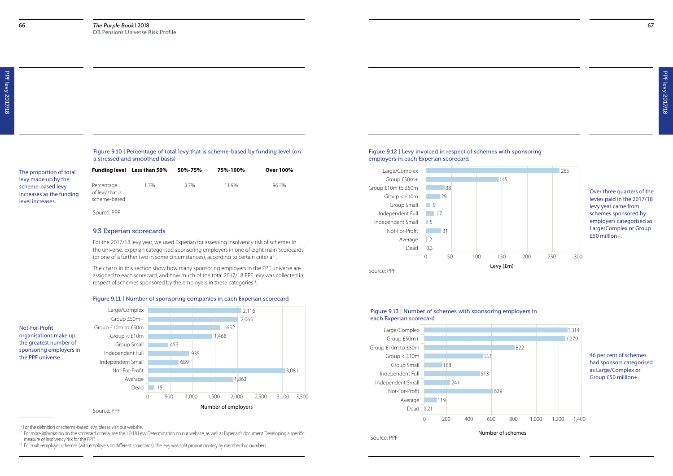67

| The proportion of total<br>levy made up by the                    | <b>Funding level</b>                          | Less than 50 $\%$ | 50%-75% | 75%-100% | <b>Over 100%</b> |
|-------------------------------------------------------------------|-----------------------------------------------|-------------------|---------|----------|------------------|
| scheme-based levy<br>increases as the funding<br>level increases. | Percentage<br>of levy that is<br>scheme-based | 1.7%              | 3.7%    | 11.9%    | 96.3%            |
|                                                                   | Source: PPF                                   |                   |         |          |                  |

Figure 9.10 | Percentage of total levy that is scheme-based by funding level (on a stressed and smoothed basis)

<sup>17</sup> For more information on the scorecard criteria, see the 17/18 Levy Determination on our website, as well as Experian's document 'Developing a specific measure of insolvency risk for the PPF'.

<sup>18</sup> For multi-employer schemes (with employers on different scorecards), the levy was split proportionately by membership numbers.

The charts in this section show how many sponsoring employers in the PPF universe are assigned to each scorecard, and how much of the total 2017/18 PPF levy was collected in respect of schemes sponsored by the employers in these categories<sup>18</sup>.

#### Source: PPF

<sup>16</sup> For the definition of scheme-based levy, please visit our website.

#### 9.3 Experian scorecards

For the 2017/18 levy year, we used Experian for assessing insolvency risk of schemes in the universe. Experian categorised sponsoring employers in one of eight main 'scorecards' (or one of a further two in some circumstances), according to certain criteria17.



0 500 1,000 1,500 2,000 2,500 3,000 3,500 Dead 151 Average 1,863 Not-For-Profit 3,081 Independent Small Independent Full 835 Group Small 453  $Group < £10m$  1,468 Group £10m to £50m Group £50m+ 2,065 Large/Complex 2,116 Number of employers organisations make up the greatest number of sponsoring employers in

Not-For-Profit

the PPF universe.





Over three quarters of the levies paid in the 2017/18 levy year came from schemes sponsored by employers categorised as Large/Complex or Group £50 million+.

Figure 9.13 | Number of schemes with sponsoring employers in each Experian scorecard

Source: PPF



46 per cent of schemes had sponsors categorised as Large/Complex or Group £50 million+.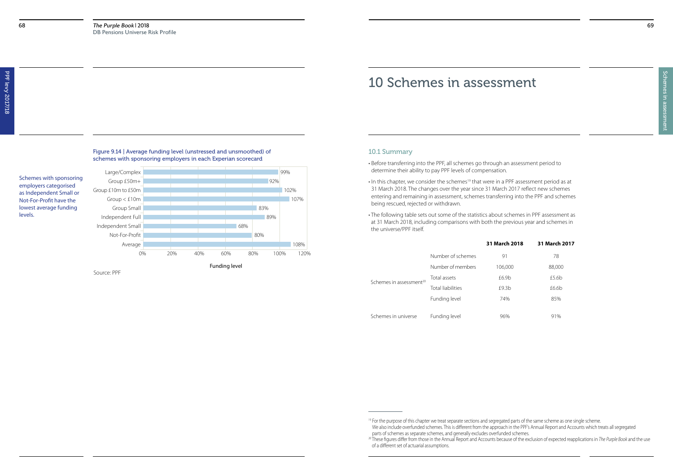### Figure 9.14 | Average funding level (unstressed and unsmoothed) of schemes with sponsoring employers in each Experian scorecard

Schemes with sponsoring employers categorised as Independent Small or Not-For-Profit have the lowest average funding levels.

Source: PPF



## 10 Schemes in assessment

#### 10.1 Summary

- Before transferring into the PPF, all schemes go through an assessment period to determine their ability to pay PPF levels of compensation.
- In this chapter, we consider the schemes<sup>19</sup> that were in a PPF assessment period as at 31 March 2018. The changes over the year since 31 March 2017 reflect new schemes entering and remaining in assessment, schemes transferring into the PPF and schemes being rescued, rejected or withdrawn.
- The following table sets out some of the statistics about schemes in PPF assessment as at 31 March 2018, including comparisons with both the previous year and schemes in the universe/PPF itself.

# **31 March 2018 31 March 2017** Number of members 106,000 88,000

|                                     | Number of schemes        | 91      | 78     |
|-------------------------------------|--------------------------|---------|--------|
|                                     | Number of members        | 106,000 | 88,000 |
| Schemes in assessment <sup>20</sup> | Total assets             | £6.9b   | £5.6b  |
|                                     | <b>Total liabilities</b> | £9.3b   | £6.6b  |
|                                     | Funding level            | 74%     | 85%    |
| Schemes in universe                 | Funding level            | 96%     | 91%    |

<sup>&</sup>lt;sup>19</sup> For the purpose of this chapter we treat separate sections and segregated parts of the same scheme as one single scheme. We also include overfunded schemes. This is different from the approach in the PPF's Annual Report and Accounts which treats all segregated parts of schemes as separate schemes, and generally excludes overfunded schemes. <sup>20</sup> These figures differ from those in the Annual Report and Accounts because of the exclusion of expected reapplications in *The Purple Book* and the use of a different set of actuarial assumptions.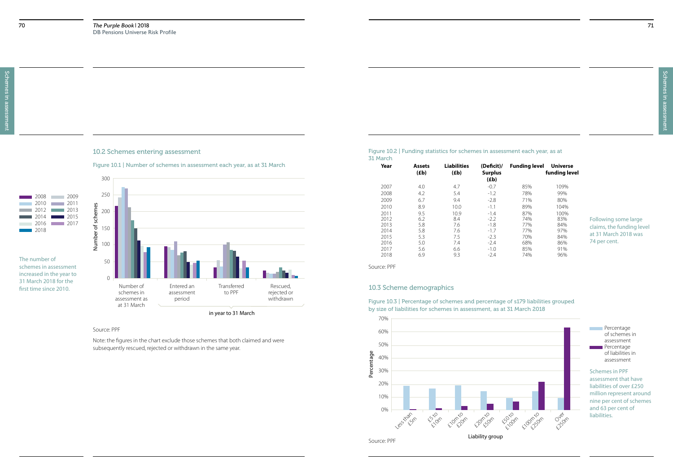10.2 Schemes entering assessment

Figure 10.1 | Number of schemes in assessment each year, as at 31 March

#### 2008 2009 2010 2011 2012 2013 2014 2015 2016 2017 2018

#### Source: PPF

Note: the figures in the chart exclude those schemes that both claimed and were subsequently rescued, rejected or withdrawn in the same year.



The number of schemes in assessment increased in the year to 31 March 2018 for the first time since 2010.

#### Figure 10.2 | Funding statistics for schemes in assessment each year, as at 31 March

Source: PPF

**Percentage** of schemes in assessment **Percentage** of liabilities in assessment

| Funding level                                                             | Universe<br>funding level                                                    |
|---------------------------------------------------------------------------|------------------------------------------------------------------------------|
| 85%<br>78%<br>71%<br>89%<br>87%<br>74%<br>77%<br>77%<br>70%<br>68%<br>85% | 109%<br>99%<br>80%<br>104%<br>100%<br>83%<br>84%<br>97%<br>84%<br>86%<br>91% |
| 74%                                                                       | 96%                                                                          |
|                                                                           |                                                                              |

| <b>Assets</b><br>(Eb) | <b>Liabilities</b><br>(Eb) | (Deficit)/<br><b>Surplus</b><br>(Eb) |     | <b>Univer</b><br>funding I |
|-----------------------|----------------------------|--------------------------------------|-----|----------------------------|
| 4.0                   | 4.7                        | $-0.7$                               | 85% | 109%                       |
| 4.2                   | 5.4                        | $-1.2$                               | 78% | 99%                        |
| 6.7                   | 9.4                        | $-2.8$                               | 71% | 80%                        |
| 8.9                   | 10.0                       | $-1.1$                               | 89% | 104%                       |
| 9.5                   | 10.9                       | $-1.4$                               | 87% | 100%                       |
| 6.2                   | 8.4                        | $-2.2$                               | 74% | 83%                        |
| 5.8                   | 7.6                        | $-1.8$                               | 77% | 84%                        |
| 5.8                   | 7.6                        | $-1.7$                               | 77% | 97%                        |
| 5.3                   | 7.5                        | $-2.3$                               | 70% | 84%                        |
| 5.0                   | 7.4                        | $-2.4$                               | 68% | 86%                        |
| 5.6                   | 6.6                        | $-1.0$                               | 85% | 91%                        |
| 6.9                   | 9.3                        | $-2.4$                               | 74% | 96%                        |
|                       |                            |                                      |     | <b>Funding level</b>       |

#### Following some large claims, the funding level at 31 March 2018 was 74 per cent.



Figure 10.3 | Percentage of schemes and percentage of s179 liabilities grouped by size of liabilities for schemes in assessment, as at 31 March 2018

#### 10.3 Scheme demographics



Schemes in PPF assessment that have liabilities of over £250 million represent around nine per cent of schemes and 63 per cent of liabilities.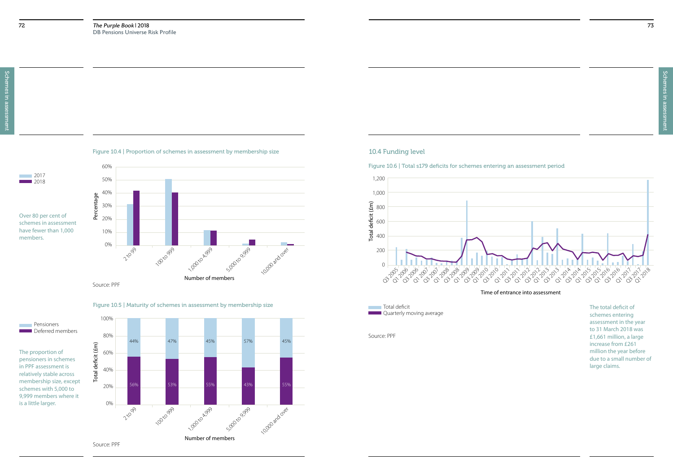Schemes in assessment Schemes in assessment

Figure 10.4 | Proportion of schemes in assessment by membership size

Over 80 per cent of schemes in assessment have fewer than 1,000 members.

Source: PPF



![](_page_36_Figure_2.jpeg)

Figure 10.5 | Maturity of schemes in assessment by membership size

The proportion of pensioners in schemes in PPF assessment is relatively stable across membership size, except schemes with 5,000 to 9,999 members where it is a little larger.

![](_page_36_Figure_9.jpeg)

![](_page_36_Picture_7.jpeg)

Source: PPF

### 10.4 Funding level

Figure 10.6 | Total s179 deficits for schemes entering an assessment period

Time of entrance into assessment

![](_page_36_Figure_12.jpeg)

**Total deficit Laward Quarterly moving average** 

The total deficit of schemes entering assessment in the year to 31 March 2018 was £1,661 million, a large increase from £261 million the year before due to a small number of large claims.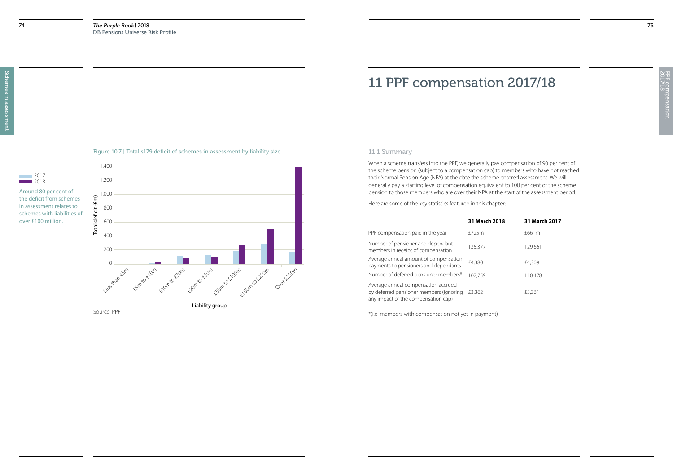PPF compensation<br>2017/18 2017/18 PPF compensation

![](_page_37_Figure_2.jpeg)

## 11 PPF compensation 2017/18

### 11.1 Summary

When a scheme transfers into the PPF, we generally pay compensation of 90 per cent of the scheme pension (subject to a compensation cap) to members who have not reached their Normal Pension Age (NPA) at the date the scheme entered assessment. We will generally pay a starting level of compensation equivalent to 100 per cent of the scheme pension to those members who are over their NPA at the start of the assessment period.

Here are some of the key statistics featured in this chapter:

\*(i.e. members with compensation not yet in payment)

### **31 March 2018 31 March 2017**

| PPF compensation paid in the year                                                                                     | £725m   | £661m   |
|-----------------------------------------------------------------------------------------------------------------------|---------|---------|
| Number of pensioner and dependant<br>members in receipt of compensation                                               | 135,377 | 129,661 |
| Average annual amount of compensation<br>payments to pensioners and dependants                                        | £4,380  | £4,309  |
| Number of deferred pensioner members*                                                                                 | 107,759 | 110.478 |
| Average annual compensation accrued<br>by deferred pensioner members (ignoring<br>any impact of the compensation cap) | £3,362  | £3,361  |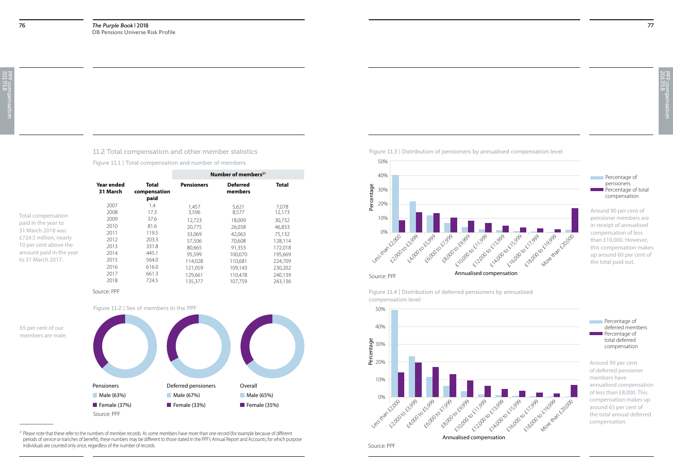11.2 Total compensation and other member statistics

Figure 11.1 | Total compensation and number of members

|                                                 |                        |                                      |                               | Number of members <sup>21</sup> |                               |
|-------------------------------------------------|------------------------|--------------------------------------|-------------------------------|---------------------------------|-------------------------------|
|                                                 | Year ended<br>31 March | <b>Total</b><br>compensation<br>paid | <b>Pensioners</b>             | <b>Deferred</b><br>members      | <b>Total</b>                  |
| Total compensation                              | 2007<br>2008           | 1.4<br>17.3                          | 1.457<br>3,596                | 5,621<br>8,577                  | 7.078<br>12,173               |
| paid in the year to<br>31 March 2018 was        | 2009<br>2010           | 37.6<br>81.6                         | 12,723<br>20.775              | 18,009<br>26,058                | 30,732<br>46,833              |
| £724.5 million, nearly<br>10 per cent above the | 2011<br>2012<br>2013   | 119.5<br>203.3<br>331.8              | 33,069<br>57,506              | 42,063<br>70,608                | 75,132<br>128,114             |
| amount paid in the year<br>to 31 March 2017.    | 2014<br>2015           | 445.1<br>564.0                       | 80.665<br>95.599<br>114,028   | 91.353<br>100.070<br>110,681    | 172,018<br>195,669<br>224,709 |
|                                                 | 2016<br>2017<br>2018   | 616.0<br>661.3<br>724.5              | 121,059<br>129,661<br>135,377 | 109,143<br>110,478<br>107.759   | 230,202<br>240,139<br>243,136 |
|                                                 |                        |                                      |                               |                                 |                               |

<sup>21</sup> Please note that these refer to the numbers of member records. As some members have more than one record (for example because of different periods of service or tranches of benefit), these numbers may be different to those stated in the PPF's Annual Report and Accounts, for which purpose individuals are counted only once, regardless of the number of records.

Source: PPF

**Percentage of** pensioners  $\blacksquare$  Percentage of total compensation

![](_page_38_Figure_6.jpeg)

![](_page_38_Figure_7.jpeg)

**Percentage of** deferred members Percentage of total deferred compensation

Figure 11.3 | Distribution of pensioners by annualised compensation level

![](_page_38_Figure_10.jpeg)

Around 90 per cent of pensioner members are in receipt of annualised compensation of less than £10,000. However, this compensation makes up around 60 per cent of the total paid out.

Figure 11.4 | Distribution of deferred pensioners by annualised compensation level

![](_page_38_Figure_12.jpeg)

Around 90 per cent of deferred pensioner members have annualised compensation of less than £8,000. This compensation makes up around 65 per cent of the total annual deferred compensation.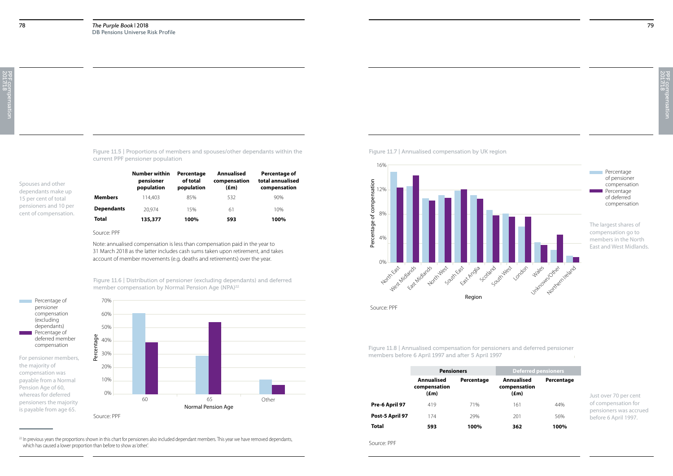![](_page_39_Figure_16.jpeg)

79

Figure 11.5 | Proportions of members and spouses/other dependants within the current PPF pensioner population

Spouses and other dependants make up 15 per cent of total pensioners and 10 per cent of compensation.

> Figure 11.6 | Distribution of pensioner (excluding dependants) and deferred member compensation by Normal Pension Age (NPA)<sup>22</sup>

|                   | Number within<br>pensioner<br>population | Percentage<br>of total<br>population | Annualised<br>compensation<br>$(\text{fm})$ | Percentage of<br>total annualised<br>compensation |
|-------------------|------------------------------------------|--------------------------------------|---------------------------------------------|---------------------------------------------------|
| <b>Members</b>    | 114.403                                  | 85%                                  | 532                                         | 90%                                               |
| <b>Dependants</b> | 20.974                                   | 15%                                  | 61                                          | 10%                                               |
| Total             | 135,377                                  | 100%                                 | 593                                         | 100%                                              |

Source: PPF

Note: annualised compensation is less than compensation paid in the year to 31 March 2018 as the latter includes cash sums taken upon retirement, and takes account of member movements (e.g. deaths and retirements) over the year.

<sup>22</sup> In previous years the proportions shown in this chart for pensioners also included dependant members. This year we have removed dependants, which has caused a lower proportion than before to show as 'other'.

**Percentage** of pensioner compensation **Percentage** of deferred compensation

![](_page_39_Figure_7.jpeg)

![](_page_39_Figure_8.jpeg)

Figure 11.7 | Annualised compensation by UK region

Figure 11.8 | Annualised compensation for pensioners and deferred pensioner

![](_page_39_Figure_11.jpeg)

Source: PPF

|                 | <b>Pensioners</b>                  |            | <b>Deferred pensioners</b>                  |            |  |
|-----------------|------------------------------------|------------|---------------------------------------------|------------|--|
|                 | Annualised<br>compensation<br>(£m) | Percentage | Annualised<br>compensation<br>$(\text{fm})$ | Percentage |  |
| Pre-6 April 97  | 419                                | 71%        | 161                                         | 44%        |  |
| Post-5 April 97 | 174                                | 29%        | 201                                         | 56%        |  |
| Total           | 593                                | 100%       | 362                                         | 100%       |  |

The largest shares of compensation go to members in the North East and West Midlands.

Just over 70 per cent of compensation for pensioners was accrued before 6 April 1997.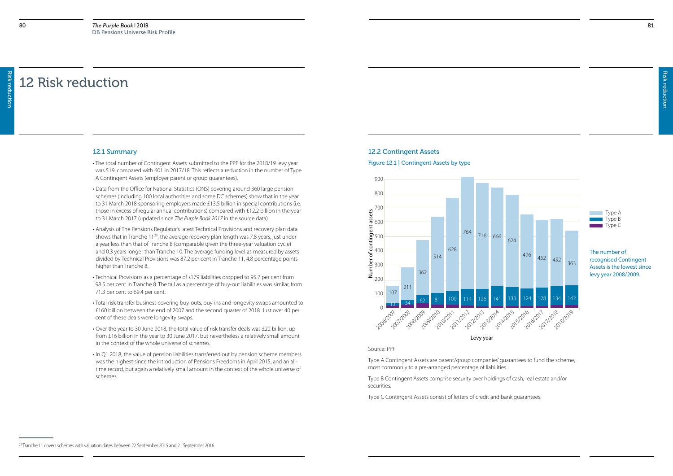Risk reduction

## 12 Risk reduction

#### 12.1 Summary

- The total number of Contingent Assets submitted to the PPF for the 2018/19 levy year was 519, compared with 601 in 2017/18. This reflects a reduction in the number of Type A Contingent Assets (employer parent or group guarantees).
- Data from the Office for National Statistics (ONS) covering around 360 large pension schemes (including 100 local authorities and some DC schemes) show that in the year to 31 March 2018 sponsoring employers made £13.5 billion in special contributions (i.e. those in excess of regular annual contributions) compared with £12.2 billion in the year to 31 March 2017 (updated since *The Purple Book 2017* in the source data).
- Analysis of The Pensions Regulator's latest Technical Provisions and recovery plan data shows that in Tranche 11<sup>23</sup>, the average recovery plan length was 7.8 years, just under a year less than that of Tranche 8 (comparable given the three-year valuation cycle) and 0.3 years longer than Tranche 10. The average funding level as measured by assets divided by Technical Provisions was 87.2 per cent in Tranche 11, 4.8 percentage points higher than Tranche 8.
- Technical Provisions as a percentage of s179 liabilities dropped to 95.7 per cent from 98.5 per cent in Tranche 8. The fall as a percentage of buy-out liabilities was similar, from 71.3 per cent to 69.4 per cent.
- Total risk transfer business covering buy-outs, buy-ins and longevity swaps amounted to £160 billion between the end of 2007 and the second quarter of 2018. Just over 40 per cent of these deals were longevity swaps.
- Over the year to 30 June 2018, the total value of risk transfer deals was £22 billion, up from £16 billion in the year to 30 June 2017, but nevertheless a relatively small amount in the context of the whole universe of schemes.
- In Q1 2018, the value of pension liabilities transferred out by pension scheme members was the highest since the introduction of Pensions Freedoms in April 2015, and an alltime record, but again a relatively small amount in the context of the whole universe of schemes.

#### 12.2 Contingent Assets

#### Figure 12.1 | Contingent Assets by type

Source: PPF

Type A Contingent Assets are parent/group companies' guarantees to fund the scheme, most commonly to a pre-arranged percentage of liabilities.

Type B Contingent Assets comprise security over holdings of cash, real estate and/or securities.

![](_page_40_Figure_12.jpeg)

| Type A |
|--------|
| lype B |
| Type C |

![](_page_40_Figure_22.jpeg)

<sup>&</sup>lt;sup>23</sup> Tranche 11 covers schemes with valuation dates between 22 September 2015 and 21 September 2016.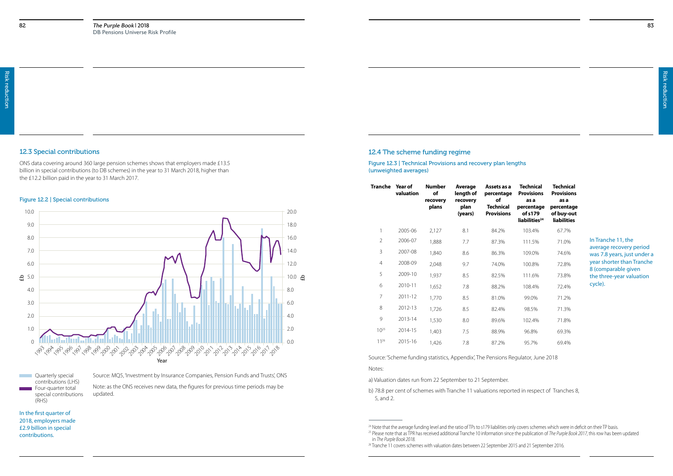#### 12.3 Special contributions

ONS data covering around 360 large pension schemes shows that employers made £13.5 billion in special contributions (to DB schemes) in the year to 31 March 2018, higher than the £12.2 billion paid in the year to 31 March 2017.

#### Figure 12.2 | Special contributions

**Quarterly special** contributions (LHS) Four-quarter total special contributions (RHS)

![](_page_41_Figure_5.jpeg)

In the first quarter of 2018, employers made £2.9 billion in special contributions.

Source: MQ5, 'Investment by Insurance Companies, Pension Funds and Trusts', ONS Note: as the ONS receives new data, the figures for previous time periods may be updated.

#### 12.4 The scheme funding regime

Figure 12.3 | Technical Provisions and recovery plan lengths (unweighted averages)

Source: 'Scheme funding statistics, Appendix', The Pensions Regulator, June 2018 Notes:

a) Valuation dates run from 22 September to 21 September.

b) 78.8 per cent of schemes with Tranche 11 valuations reported in respect of Tranches 8, 5, and 2.

| s a<br>ge | Technical<br><b>Provisions</b><br>as a             | Technical<br><b>Provisions</b><br>as a         |
|-----------|----------------------------------------------------|------------------------------------------------|
| al<br>ns  | percentage<br>of s179<br>liabilities <sup>24</sup> | percentage<br>of buy-out<br><b>liabilities</b> |
|           | 103.4%                                             | 67.7%                                          |
|           | 111.5%                                             | 71.0%                                          |
|           | 109.0%                                             | 74.6%                                          |
|           | 100.8%                                             | 72.8%                                          |
|           | 111.6%                                             | 73.8%                                          |
|           | 108.4%                                             | 72.4%                                          |
|           | 99.0%                                              | 71.2%                                          |
|           | 98.5%                                              | 71.3%                                          |
|           | 102.4%                                             | 71.8%                                          |
|           | 96.8%                                              | 69.3%                                          |
|           | Q5 70%                                             | 60 10%                                         |

| Tranche        | Year of<br>valuation | <b>Number</b><br>of<br>recovery<br>plans | Average<br>length of<br>recovery<br>plan<br>(years) | Assets as a<br>percentage<br>of<br>Technical<br><b>Provisions</b> | <b>Technical</b><br><b>Provisions</b><br>as a<br>percentage<br>of s179<br>liabilities <sup>24</sup> | Technic<br><b>Provisio</b><br>as a<br>percenta<br>of buy-c<br>liabiliti |
|----------------|----------------------|------------------------------------------|-----------------------------------------------------|-------------------------------------------------------------------|-----------------------------------------------------------------------------------------------------|-------------------------------------------------------------------------|
| 1              | 2005-06              | 2,127                                    | 8.1                                                 | 84.2%                                                             | 103.4%                                                                                              | 67.7%                                                                   |
| $\overline{2}$ | 2006-07              | 1,888                                    | 7.7                                                 | 87.3%                                                             | 111.5%                                                                                              | 71.0%                                                                   |
| 3              | 2007-08              | 1,840                                    | 8.6                                                 | 86.3%                                                             | 109.0%                                                                                              | 74.6%                                                                   |
| $\overline{4}$ | 2008-09              | 2,048                                    | 9.7                                                 | 74.0%                                                             | 100.8%                                                                                              | 72.8%                                                                   |
| 5              | 2009-10              | 1,937                                    | 8.5                                                 | 82.5%                                                             | 111.6%                                                                                              | 73.8%                                                                   |
| 6              | 2010-11              | 1,652                                    | 7.8                                                 | 88.2%                                                             | 108.4%                                                                                              | 72.4%                                                                   |
| $\overline{7}$ | $2011 - 12$          | 1,770                                    | 8.5                                                 | 81.0%                                                             | 99.0%                                                                                               | 71.2%                                                                   |
| 8              | 2012-13              | 1,726                                    | 8.5                                                 | 82.4%                                                             | 98.5%                                                                                               | 71.3%                                                                   |
| 9              | 2013-14              | 1,530                                    | 8.0                                                 | 89.6%                                                             | 102.4%                                                                                              | 71.8%                                                                   |
| $10^{25}$      | 2014-15              | 1,403                                    | 7.5                                                 | 88.9%                                                             | 96.8%                                                                                               | 69.3%                                                                   |
| 1 1 26         | 2015-16              | 1,426                                    | 7.8                                                 | 87.2%                                                             | 95.7%                                                                                               | 69.4%                                                                   |
|                |                      |                                          |                                                     |                                                                   |                                                                                                     |                                                                         |

In Tranche 11, the average recovery period was 7.8 years, just under a year shorter than Tranche 8 (comparable given the three-year valuation cycle).

<sup>&</sup>lt;sup>24</sup> Note that the average funding level and the ratio of TPs to s179 liabilities only covers schemes which were in deficit on their TP basis. <sup>25</sup> Please note that as TPR has received additional Tranche 10 information since the publication of *The Purple Book 2017*, this row has been updated in *The Purple Book 2018*.

<sup>&</sup>lt;sup>26</sup> Tranche 11 covers schemes with valuation dates between 22 September 2015 and 21 September 2016.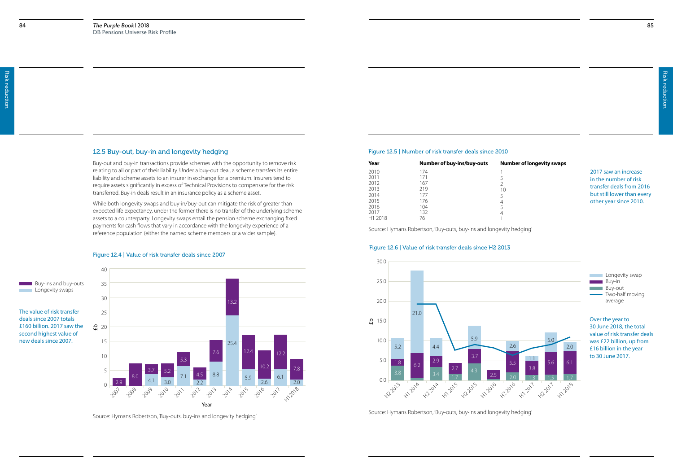$\overline{\phantom{a}}$  Longevity swaps

85

### **Yearror indumber of longevity swaps**

### 12.5 Buy-out, buy-in and longevity hedging

Buy-out and buy-in transactions provide schemes with the opportunity to remove risk relating to all or part of their liability. Under a buy-out deal, a scheme transfers its entire liability and scheme assets to an insurer in exchange for a premium. Insurers tend to require assets significantly in excess of Technical Provisions to compensate for the risk transferred. Buy-in deals result in an insurance policy as a scheme asset.

While both longevity swaps and buy-in/buy-out can mitigate the risk of greater than expected life expectancy, under the former there is no transfer of the underlying scheme assets to a counterparty. Longevity swaps entail the pension scheme exchanging fixed payments for cash flows that vary in accordance with the longevity experience of a reference population (either the named scheme members or a wider sample).

#### Figure 12.4 | Value of risk transfer deals since 2007

**Longevity swap** Buy-in **Buy-out**  $\overline{\phantom{a}}$  Two-half moving average

![](_page_42_Figure_5.jpeg)

Source: Hymans Robertson, 'Buy-outs, buy-ins and longevity hedging'

The value of risk transfer deals since 2007 totals

second highest value of new deals since 2007.

#### Figure 12.5 | Number of risk transfer deals since 2010

| Year    | Number of buy-ins/buy-outs | <b>Nu</b>      |
|---------|----------------------------|----------------|
| 2010    | 174                        |                |
| 2011    | 171                        | 5              |
| 2012    | 167                        | $\overline{2}$ |
| 2013    | 219                        | 10             |
| 2014    | 177                        | 5              |
| 2015    | 176                        | 4              |
| 2016    | 104                        | 5              |
| 2017    | 132                        | 4              |
| H1 2018 | 76                         |                |
|         |                            |                |

Source: Hymans Robertson, 'Buy-outs, buy-ins and longevity hedging'

2017 saw an increase in the number of risk transfer deals from 2016 but still lower than every other year since 2010.

#### Figure 12.6 | Value of risk transfer deals since H2 2013

Over the year to 30 June 2018, the total value of risk transfer deals was £22 billion, up from £16 billion in the year to 30 June 2017.

![](_page_42_Figure_12.jpeg)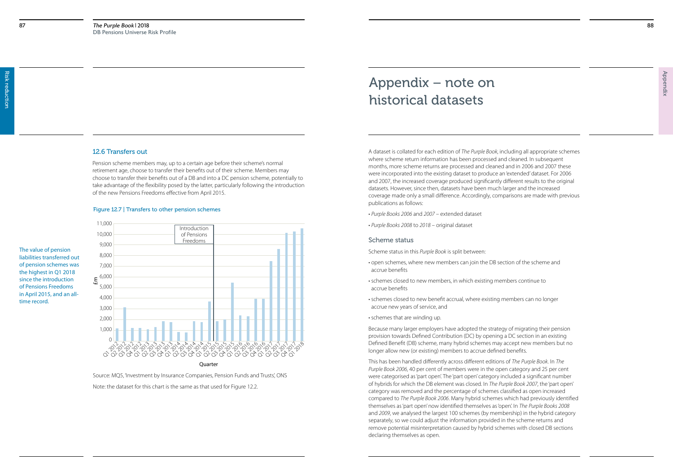Appendix

A dataset is collated for each edition of *The Purple Book*, including all appropriate schemes where scheme return information has been processed and cleaned. In subsequent months, more scheme returns are processed and cleaned and in 2006 and 2007 these were incorporated into the existing dataset to produce an 'extended' dataset. For 2006 and 2007, the increased coverage produced significantly different results to the original datasets. However, since then, datasets have been much larger and the increased coverage made only a small difference. Accordingly, comparisons are made with previous publications as follows:

- *Purple Books 2006* and *2007* extended dataset
- *Purple Books 2008* to *2018* original dataset

#### Scheme status

Scheme status in this *Purple Book* is split between:

- open schemes, where new members can join the DB section of the scheme and accrue benefits
- schemes closed to new members, in which existing members continue to accrue benefits
- schemes closed to new benefit accrual, where existing members can no longer accrue new years of service, and
- schemes that are winding up.

Because many larger employers have adopted the strategy of migrating their pension provision towards Defined Contribution (DC) by opening a DC section in an existing Defined Benefit (DB) scheme, many hybrid schemes may accept new members but no longer allow new (or existing) members to accrue defined benefits.

This has been handled differently across different editions of *The Purple Book*. In *The Purple Book 2006*, 40 per cent of members were in the open category and 25 per cent were categorised as 'part open'. The 'part open' category included a significant number of hybrids for which the DB element was closed. In *The Purple Book 2007*, the 'part open' category was removed and the percentage of schemes classified as open increased compared to *The Purple Book 2006*. Many hybrid schemes which had previously identified themselves as 'part open' now identified themselves as 'open'. In *The Purple Books 2008* and *2009*, we analysed the largest 100 schemes (by membership) in the hybrid category separately, so we could adjust the information provided in the scheme returns and remove potential misinterpretation caused by hybrid schemes with closed DB sections declaring themselves as open.

## Appendix – note on historical datasets

#### Figure 12.7 | Transfers to other pension schemes

The value of pension liabilities transferred out of pension schemes was the highest in Q1 2018 since the introduction of Pensions Freedoms in April 2015, and an alltime record.

Source: MQ5, 'Investment by Insurance Companies, Pension Funds and Trusts', ONS

### 12.6 Transfers out

![](_page_43_Figure_6.jpeg)

Pension scheme members may, up to a certain age before their scheme's normal retirement age, choose to transfer their benefits out of their scheme. Members may choose to transfer their benefits out of a DB and into a DC pension scheme, potentially to take advantage of the flexibility posed by the latter, particularly following the introduction of the new Pensions Freedoms effective from April 2015.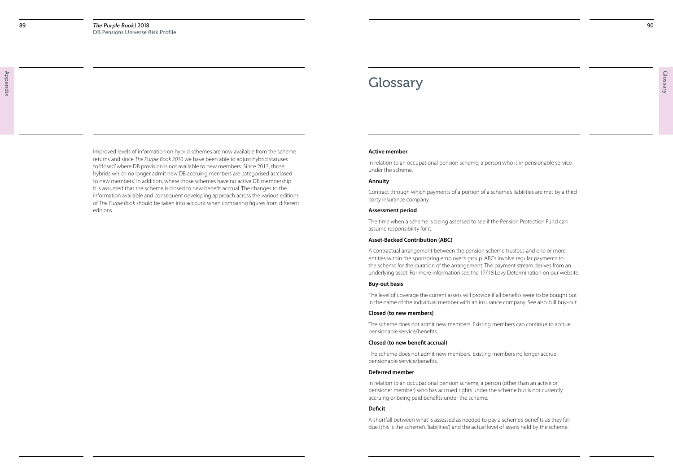## **Glossary**

90

#### **Active member**

In relation to an occupational pension scheme, a person who is in pensionable service under the scheme.

#### **Annuity**

Contract through which payments of a portion of a scheme's liabilities are met by a third party insurance company.

#### **Assessment period**

The time when a scheme is being assessed to see if the Pension Protection Fund can assume responsibility for it.

#### **Asset-Backed Contribution (ABC)**

A contractual arrangement between the pension scheme trustees and one or more entities within the sponsoring employer's group. ABCs involve regular payments to the scheme for the duration of the arrangement. The payment stream derives from an underlying asset. For more information see the 17/18 Levy Determination on our website.

#### **Buy-out basis**

The level of coverage the current assets will provide if all benefits were to be bought out in the name of the individual member with an insurance company. See also: full buy-out.

#### **Closed (to new members)**

The scheme does not admit new members. Existing members can continue to accrue pensionable service/benefits.

#### **Closed (to new benefit accrual)**

The scheme does not admit new members. Existing members no longer accrue pensionable service/benefits.

#### **Deferred member**

In relation to an occupational pension scheme, a person (other than an active or pensioner member) who has accrued rights under the scheme but is not currently accruing or being paid benefits under the scheme.

#### **Deficit**

A shortfall between what is assessed as needed to pay a scheme's benefits as they fall due (this is the scheme's 'liabilities') and the actual level of assets held by the scheme.

Improved levels of information on hybrid schemes are now available from the scheme returns and since *The Purple Book 2010* we have been able to adjust hybrid statuses to 'closed' where DB provision is not available to new members. Since 2013, those hybrids which no longer admit new DB accruing members are categorised as 'closed to new members'. In addition, where those schemes have no active DB membership it is assumed that the scheme is closed to new benefit accrual. The changes to the information available and consequent developing approach across the various editions of *The Purple Book* should be taken into account when comparing figures from different editions.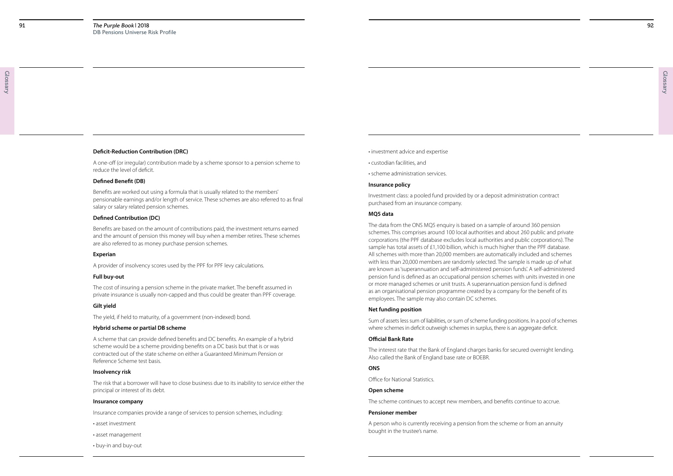92

Glossary

- investment advice and expertise
- custodian facilities, and
- scheme administration services.

#### **Insurance policy**

Investment class: a pooled fund provided by or a deposit administration contract purchased from an insurance company.

#### **MQ5 data**

The data from the ONS MQ5 enquiry is based on a sample of around 360 pension schemes. This comprises around 100 local authorities and about 260 public and private corporations (the PPF database excludes local authorities and public corporations). The sample has total assets of £1,100 billion, which is much higher than the PPF database. All schemes with more than 20,000 members are automatically included and schemes with less than 20,000 members are randomly selected. The sample is made up of what are known as 'superannuation and self-administered pension funds'. A self-administered pension fund is defined as an occupational pension schemes with units invested in one or more managed schemes or unit trusts. A superannuation pension fund is defined as an organisational pension programme created by a company for the benefit of its employees. The sample may also contain DC schemes.

#### **Net funding position**

Sum of assets less sum of liabilities, or sum of scheme funding positions. In a pool of schemes where schemes in deficit outweigh schemes in surplus, there is an aggregate deficit.

#### **Official Bank Rate**

The interest rate that the Bank of England charges banks for secured overnight lending. Also called the Bank of England base rate or BOEBR.

#### **ONS**

Office for National Statistics.

#### **Open scheme**

The scheme continues to accept new members, and benefits continue to accrue.

#### **Pensioner member**

A person who is currently receiving a pension from the scheme or from an annuity bought in the trustee's name.

#### **Deficit-Reduction Contribution (DRC)**

A one-off (or irregular) contribution made by a scheme sponsor to a pension scheme to reduce the level of deficit.

#### **Defined Benefit (DB)**

Benefits are worked out using a formula that is usually related to the members' pensionable earnings and/or length of service. These schemes are also referred to as final salary or salary related pension schemes.

#### **Defined Contribution (DC)**

Benefits are based on the amount of contributions paid, the investment returns earned and the amount of pension this money will buy when a member retires. These schemes are also referred to as money purchase pension schemes.

#### **Experian**

A provider of insolvency scores used by the PPF for PPF levy calculations.

#### **Full buy-out**

The cost of insuring a pension scheme in the private market. The benefit assumed in private insurance is usually non-capped and thus could be greater than PPF coverage.

#### **Gilt yield**

The yield, if held to maturity, of a government (non-indexed) bond.

#### **Hybrid scheme or partial DB scheme**

A scheme that can provide defined benefits and DC benefits. An example of a hybrid scheme would be a scheme providing benefits on a DC basis but that is or was contracted out of the state scheme on either a Guaranteed Minimum Pension or Reference Scheme test basis.

#### **Insolvency risk**

The risk that a borrower will have to close business due to its inability to service either the principal or interest of its debt.

#### **Insurance company**

Insurance companies provide a range of services to pension schemes, including:

- asset investment
- asset management
- buy-in and buy-out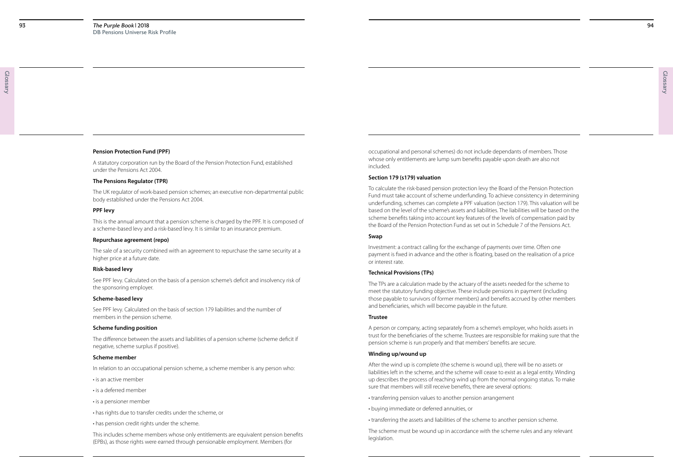94

Glossary

occupational and personal schemes) do not include dependants of members. Those whose only entitlements are lump sum benefits payable upon death are also not included.

#### **Section 179 (s179) valuation**

To calculate the risk-based pension protection levy the Board of the Pension Protection Fund must take account of scheme underfunding. To achieve consistency in determining underfunding, schemes can complete a PPF valuation (section 179). This valuation will be based on the level of the scheme's assets and liabilities. The liabilities will be based on the scheme benefits taking into account key features of the levels of compensation paid by the Board of the Pension Protection Fund as set out in Schedule 7 of the Pensions Act.

#### **Swap**

Investment: a contract calling for the exchange of payments over time. Often one payment is fixed in advance and the other is floating, based on the realisation of a price or interest rate.

#### **Technical Provisions (TPs)**

The TPs are a calculation made by the actuary of the assets needed for the scheme to meet the statutory funding objective. These include pensions in payment (including those payable to survivors of former members) and benefits accrued by other members and beneficiaries, which will become payable in the future.

#### **Trustee**

A person or company, acting separately from a scheme's employer, who holds assets in trust for the beneficiaries of the scheme. Trustees are responsible for making sure that the pension scheme is run properly and that members' benefits are secure.

#### **Winding up/wound up**

After the wind up is complete (the scheme is wound up), there will be no assets or liabilities left in the scheme, and the scheme will cease to exist as a legal entity. Winding up describes the process of reaching wind up from the normal ongoing status. To make sure that members will still receive benefits, there are several options:

- transferring pension values to another pension arrangement
- buying immediate or deferred annuities, or
- transferring the assets and liabilities of the scheme to another pension scheme.

The scheme must be wound up in accordance with the scheme rules and any relevant legislation.

#### **Pension Protection Fund (PPF)**

A statutory corporation run by the Board of the Pension Protection Fund, established under the Pensions Act 2004.

#### **The Pensions Regulator (TPR)**

The UK regulator of work-based pension schemes; an executive non-departmental public body established under the Pensions Act 2004.

#### **PPF levy**

This is the annual amount that a pension scheme is charged by the PPF. It is composed of a scheme-based levy and a risk-based levy. It is similar to an insurance premium.

#### **Repurchase agreement (repo)**

The sale of a security combined with an agreement to repurchase the same security at a higher price at a future date.

#### **Risk-based levy**

See PPF levy. Calculated on the basis of a pension scheme's deficit and insolvency risk of the sponsoring employer.

#### **Scheme-based levy**

See PPF levy. Calculated on the basis of section 179 liabilities and the number of members in the pension scheme.

#### **Scheme funding position**

The difference between the assets and liabilities of a pension scheme (scheme deficit if negative, scheme surplus if positive).

#### **Scheme member**

In relation to an occupational pension scheme, a scheme member is any person who:

- is an active member
- is a deferred member
- is a pensioner member
- has rights due to transfer credits under the scheme, or
- has pension credit rights under the scheme.

This includes scheme members whose only entitlements are equivalent pension benefits (EPBs), as those rights were earned through pensionable employment. Members (for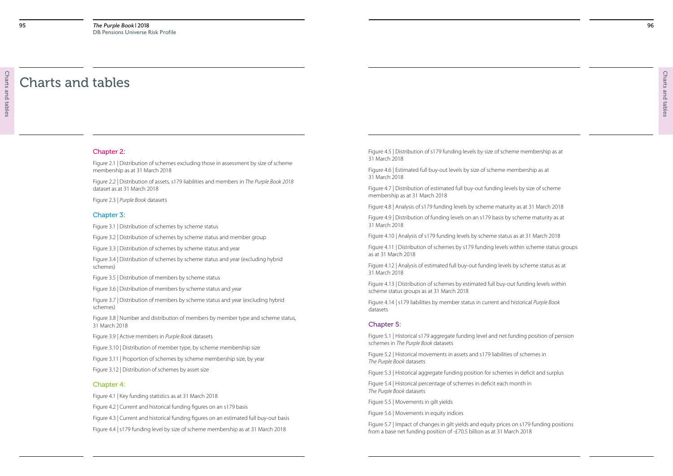Figure 4.5 | Distribution of s179 funding levels by size of scheme membership as at 31 March 2018

Figure 4.6 | Estimated full buy-out levels by size of scheme membership as at 31 March 2018

Figure 4.7 | Distribution of estimated full buy-out funding levels by size of scheme membership as at 31 March 2018

Figure 4.8 | Analysis of s179 funding levels by scheme maturity as at 31 March 2018

Figure 4.9 | Distribution of funding levels on an s179 basis by scheme maturity as at 31 March 2018

Figure 4.10 | Analysis of s179 funding levels by scheme status as at 31 March 2018

Figure 4.11 | Distribution of schemes by s179 funding levels within scheme status groups as at 31 March 2018

Figure 4.12 | Analysis of estimated full buy-out funding levels by scheme status as at 31 March 2018

- 
- 
- 
- 
- 
- 
- 
- 
- 
- 
- 
- 

Figure 4.13 | Distribution of schemes by estimated full buy-out funding levels within scheme status groups as at 31 March 2018

Figure 4.14 | s179 liabilities by member status in current and historical *Purple Book* datasets

#### Chapter 5:

Figure 5.1 | Historical s179 aggregate funding level and net funding position of pension schemes in *The Purple Book* datasets

Figure 5.2 | Historical movements in assets and s179 liabilities of schemes in *The Purple Book* datasets

Figure 5.3 | Historical aggregate funding position for schemes in deficit and surplus

Figure 5.4 | Historical percentage of schemes in deficit each month in *The Purple Book* datasets

Figure 5.5 | Movements in gilt yields

Figure 5.6 | Movements in equity indices

Figure 5.7 | Impact of changes in gilt yields and equity prices on s179 funding positions from a base net funding position of -£70.5 billion as at 31 March 2018

#### Chapter 2:

Figure 2.1 | Distribution of schemes excluding those in assessment by size of scheme membership as at 31 March 2018

Figure 2.2 | Distribution of assets, s179 liabilities and members in *The Purple Book 2018* dataset as at 31 March 2018

Figure 2.3 | *Purple Book* datasets

#### Chapter 3:

Figure 3.1 | Distribution of schemes by scheme status

Figure 3.2 | Distribution of schemes by scheme status and member group

Figure 3.3 | Distribution of schemes by scheme status and year

Figure 3.4 | Distribution of schemes by scheme status and year (excluding hybrid schemes)

Figure 3.5 | Distribution of members by scheme status

Figure 3.6 | Distribution of members by scheme status and year

Figure 3.7 | Distribution of members by scheme status and year (excluding hybrid schemes)

Figure 3.8 | Number and distribution of members by member type and scheme status, 31 March 2018

Figure 3.9 | Active members in *Purple Book* datasets

Figure 3.10 | Distribution of member type, by scheme membership size

Figure 3.11 | Proportion of schemes by scheme membership size, by year

Figure 3.12 | Distribution of schemes by asset size

#### Chapter 4:

Figure 4.1 | Key funding statistics as at 31 March 2018

Figure 4.2 | Current and historical funding figures on an s179 basis

Figure 4.3 | Current and historical funding figures on an estimated full buy-out basis

Figure 4.4 | s179 funding level by size of scheme membership as at 31 March 2018

## Charts and tables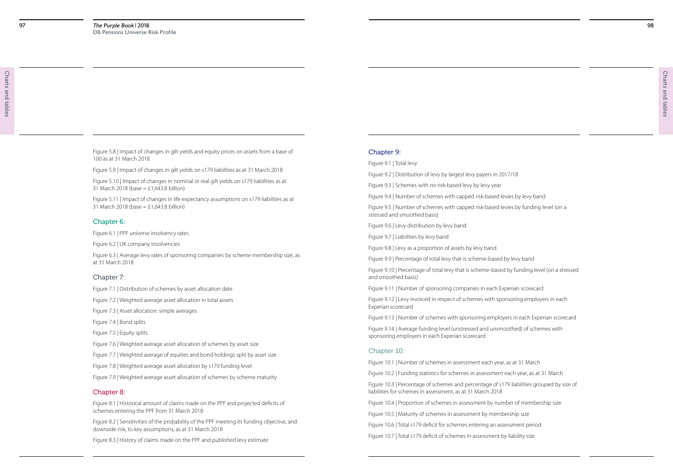#### Chapter 9:

Figure 9.1 | Total levy

Figure 9.2 | Distribution of levy by largest levy payers in 2017/18

Figure 9.3 | Schemes with no risk-based levy by levy year

Figure 9.4 | Number of schemes with capped risk-based levies by levy band

Figure 9.5 | Number of schemes with capped risk-based levies by funding level (on a stressed and smoothed basis)

Figure 9.6 | Levy distribution by levy band

Figure 9.7 | Liabilities by levy band

Figure 9.8 | Levy as a proportion of assets by levy band

Figure 9.9 | Percentage of total levy that is scheme-based by levy band Figure 9.10 | Percentage of total levy that is scheme-based by funding level (on a stressed

and smoothed basis)

Figure 9.11 | Number of sponsoring companies in each Experian scorecard

Figure 9.12 | Levy invoiced in respect of schemes with sponsoring employers in each Experian scorecard

Figure 9.13 | Number of schemes with sponsoring employers in each Experian scorecard

Figure 5.10 | Impact of changes in nominal or real gilt yields on s179 liabilities as at 31 March 2018 (base  $=$  £1,643.8 billion)

> Figure 9.14 | Average funding level (unstressed and unsmoothed) of schemes with sponsoring employers in each Experian scorecard

#### Chapter 10:

Figure 10.1 | Number of schemes in assessment each year, as at 31 March

Figure 10.2 | Funding statistics for schemes in assessment each year, as at 31 March

Figure 10.3 | Percentage of schemes and percentage of s179 liabilities grouped by size of liabilities for schemes in assessment, as at 31 March 2018

Figure 10.4 | Proportion of schemes in assessment by number of membership size

Figure 10.5 | Maturity of schemes in assessment by membership size

Figure 10.6 | Total s179 deficit for schemes entering an assessment period

Figure 10.7 | Total s179 deficit of schemes in assessment by liability size

Figure 5.8 | Impact of changes in gilt yields and equity prices on assets from a base of 100 as at 31 March 2018

Figure 5.9 | Impact of changes in gilt yields on s179 liabilities as at 31 March 2018

Figure 5.11 | Impact of changes in life expectancy assumptions on s179 liabilities as at 31 March 2018 (base = £1,643.8 billion)

#### Chapter 6:

Figure 6.1 | PPF universe insolvency rates

Figure 6.2 | UK company insolvencies

Figure 6.3 | Average levy rates of sponsoring companies by scheme membership size, as at 31 March 2018

#### Chapter 7:

Figure 7.1 | Distribution of schemes by asset allocation date

Figure 7.2 | Weighted average asset allocation in total assets

Figure 7.3 | Asset allocation: simple averages

Figure 7.4 | Bond splits

Figure 7.5 | Equity splits

Figure 7.6 | Weighted average asset allocation of schemes by asset size

Figure 7.7 | Weighted average of equities and bond holdings split by asset size

Figure 7.8 | Weighted average asset allocation by s179 funding level

Figure 7.9 | Weighted average asset allocation of schemes by scheme maturity

#### Chapter 8:

Figure 8.1 | Historical amount of claims made on the PPF and projected deficits of schemes entering the PPF from 31 March 2018

Figure 8.2 | Sensitivities of the probability of the PPF meeting its funding objective, and downside risk, to key assumptions, as at 31 March 2018

Figure 8.3 | History of claims made on the PPF and published levy estimate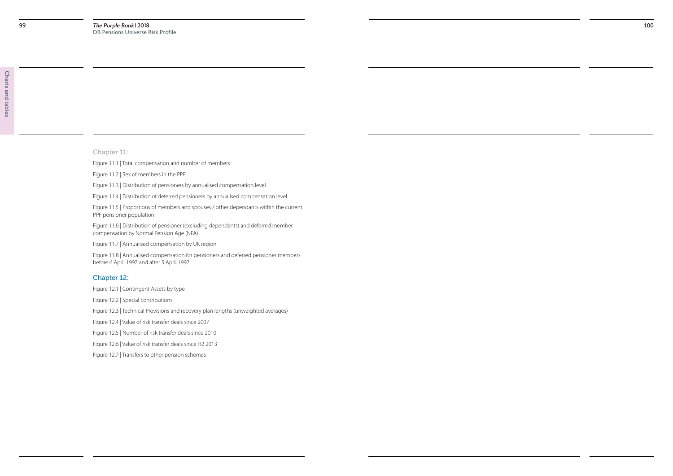### Chapter 11:

Figure 11.1 | Total compensation and number of members

Figure 11.2 | Sex of members in the PPF

Figure 11.3 | Distribution of pensioners by annualised compensation level

Figure 11.4 | Distribution of deferred pensioners by annualised compensation level

Figure 11.5 | Proportions of members and spouses / other dependants within the current PPF pensioner population

Figure 11.6 | Distribution of pensioner (excluding dependants) and deferred member compensation by Normal Pension Age (NPA)

Figure 11.7 | Annualised compensation by UK region

Figure 11.8 | Annualised compensation for pensioners and deferred pensioner members before 6 April 1997 and after 5 April 1997

#### Chapter 12:

Figure 12.1 | Contingent Assets by type

Figure 12.2 | Special contributions

Figure 12.3 | Technical Provisions and recovery plan lengths (unweighted averages)

Figure 12.4 | Value of risk transfer deals since 2007

Figure 12.5 | Number of risk transfer deals since 2010

Figure 12.6 | Value of risk transfer deals since H2 2013

Figure 12.7 | Transfers to other pension schemes